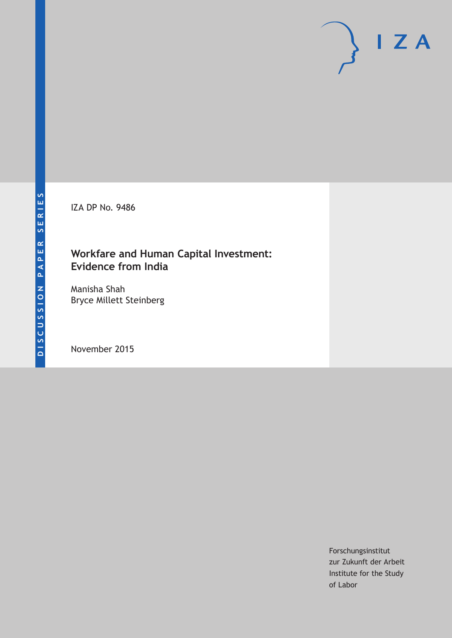IZA DP No. 9486

### **Workfare and Human Capital Investment: Evidence from India**

Manisha Shah Bryce Millett Steinberg

November 2015

Forschungsinstitut zur Zukunft der Arbeit Institute for the Study of Labor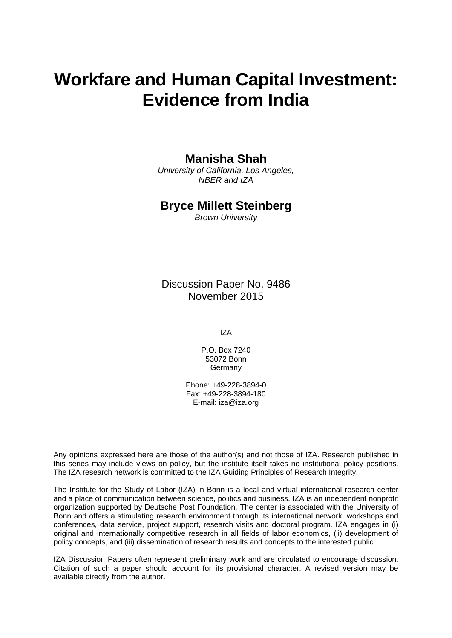# **Workfare and Human Capital Investment: Evidence from India**

### **Manisha Shah**

*University of California, Los Angeles, NBER and IZA* 

### **Bryce Millett Steinberg**

*Brown University* 

Discussion Paper No. 9486 November 2015

IZA

P.O. Box 7240 53072 Bonn Germany

Phone: +49-228-3894-0 Fax: +49-228-3894-180 E-mail: iza@iza.org

Any opinions expressed here are those of the author(s) and not those of IZA. Research published in this series may include views on policy, but the institute itself takes no institutional policy positions. The IZA research network is committed to the IZA Guiding Principles of Research Integrity.

The Institute for the Study of Labor (IZA) in Bonn is a local and virtual international research center and a place of communication between science, politics and business. IZA is an independent nonprofit organization supported by Deutsche Post Foundation. The center is associated with the University of Bonn and offers a stimulating research environment through its international network, workshops and conferences, data service, project support, research visits and doctoral program. IZA engages in (i) original and internationally competitive research in all fields of labor economics, (ii) development of policy concepts, and (iii) dissemination of research results and concepts to the interested public.

IZA Discussion Papers often represent preliminary work and are circulated to encourage discussion. Citation of such a paper should account for its provisional character. A revised version may be available directly from the author.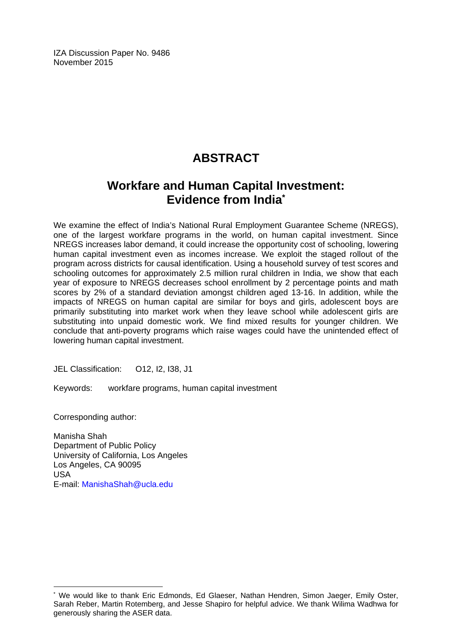IZA Discussion Paper No. 9486 November 2015

# **ABSTRACT**

### **Workfare and Human Capital Investment: Evidence from India\***

We examine the effect of India's National Rural Employment Guarantee Scheme (NREGS), one of the largest workfare programs in the world, on human capital investment. Since NREGS increases labor demand, it could increase the opportunity cost of schooling, lowering human capital investment even as incomes increase. We exploit the staged rollout of the program across districts for causal identification. Using a household survey of test scores and schooling outcomes for approximately 2.5 million rural children in India, we show that each year of exposure to NREGS decreases school enrollment by 2 percentage points and math scores by 2% of a standard deviation amongst children aged 13-16. In addition, while the impacts of NREGS on human capital are similar for boys and girls, adolescent boys are primarily substituting into market work when they leave school while adolescent girls are substituting into unpaid domestic work. We find mixed results for younger children. We conclude that anti-poverty programs which raise wages could have the unintended effect of lowering human capital investment.

JEL Classification: O12, I2, I38, J1

Keywords: workfare programs, human capital investment

Corresponding author:

 $\overline{a}$ 

Manisha Shah Department of Public Policy University of California, Los Angeles Los Angeles, CA 90095 USA E-mail: ManishaShah@ucla.edu

<sup>\*</sup> We would like to thank Eric Edmonds, Ed Glaeser, Nathan Hendren, Simon Jaeger, Emily Oster, Sarah Reber, Martin Rotemberg, and Jesse Shapiro for helpful advice. We thank Wilima Wadhwa for generously sharing the ASER data.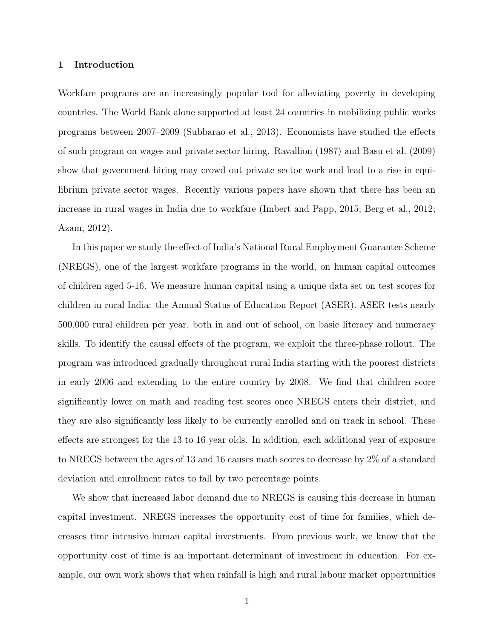#### 1 Introduction

Workfare programs are an increasingly popular tool for alleviating poverty in developing countries. The World Bank alone supported at least 24 countries in mobilizing public works programs between 2007–2009 (Subbarao et al., 2013). Economists have studied the effects of such program on wages and private sector hiring. Ravallion (1987) and Basu et al. (2009) show that government hiring may crowd out private sector work and lead to a rise in equilibrium private sector wages. Recently various papers have shown that there has been an increase in rural wages in India due to workfare (Imbert and Papp, 2015; Berg et al., 2012; Azam, 2012).

In this paper we study the effect of India's National Rural Employment Guarantee Scheme (NREGS), one of the largest workfare programs in the world, on human capital outcomes of children aged 5-16. We measure human capital using a unique data set on test scores for children in rural India: the Annual Status of Education Report (ASER). ASER tests nearly 500,000 rural children per year, both in and out of school, on basic literacy and numeracy skills. To identify the causal effects of the program, we exploit the three-phase rollout. The program was introduced gradually throughout rural India starting with the poorest districts in early 2006 and extending to the entire country by 2008. We find that children score significantly lower on math and reading test scores once NREGS enters their district, and they are also significantly less likely to be currently enrolled and on track in school. These effects are strongest for the 13 to 16 year olds. In addition, each additional year of exposure to NREGS between the ages of 13 and 16 causes math scores to decrease by 2% of a standard deviation and enrollment rates to fall by two percentage points.

We show that increased labor demand due to NREGS is causing this decrease in human capital investment. NREGS increases the opportunity cost of time for families, which decreases time intensive human capital investments. From previous work, we know that the opportunity cost of time is an important determinant of investment in education. For example, our own work shows that when rainfall is high and rural labour market opportunities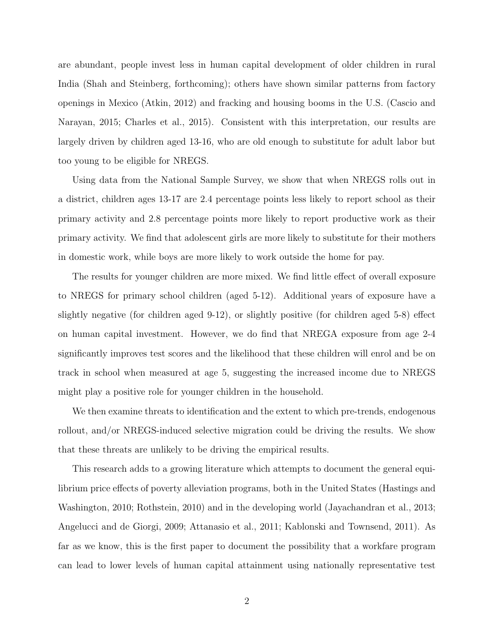are abundant, people invest less in human capital development of older children in rural India (Shah and Steinberg, forthcoming); others have shown similar patterns from factory openings in Mexico (Atkin, 2012) and fracking and housing booms in the U.S. (Cascio and Narayan, 2015; Charles et al., 2015). Consistent with this interpretation, our results are largely driven by children aged 13-16, who are old enough to substitute for adult labor but too young to be eligible for NREGS.

Using data from the National Sample Survey, we show that when NREGS rolls out in a district, children ages 13-17 are 2.4 percentage points less likely to report school as their primary activity and 2.8 percentage points more likely to report productive work as their primary activity. We find that adolescent girls are more likely to substitute for their mothers in domestic work, while boys are more likely to work outside the home for pay.

The results for younger children are more mixed. We find little effect of overall exposure to NREGS for primary school children (aged 5-12). Additional years of exposure have a slightly negative (for children aged 9-12), or slightly positive (for children aged 5-8) effect on human capital investment. However, we do find that NREGA exposure from age 2-4 significantly improves test scores and the likelihood that these children will enrol and be on track in school when measured at age 5, suggesting the increased income due to NREGS might play a positive role for younger children in the household.

We then examine threats to identification and the extent to which pre-trends, endogenous rollout, and/or NREGS-induced selective migration could be driving the results. We show that these threats are unlikely to be driving the empirical results.

This research adds to a growing literature which attempts to document the general equilibrium price effects of poverty alleviation programs, both in the United States (Hastings and Washington, 2010; Rothstein, 2010) and in the developing world (Jayachandran et al., 2013; Angelucci and de Giorgi, 2009; Attanasio et al., 2011; Kablonski and Townsend, 2011). As far as we know, this is the first paper to document the possibility that a workfare program can lead to lower levels of human capital attainment using nationally representative test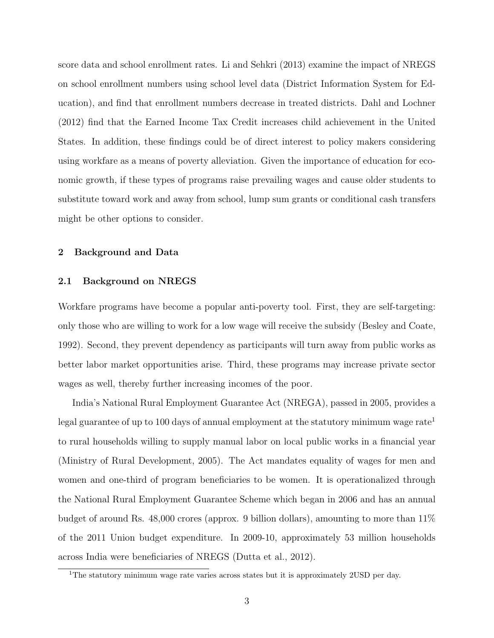score data and school enrollment rates. Li and Sehkri (2013) examine the impact of NREGS on school enrollment numbers using school level data (District Information System for Education), and find that enrollment numbers decrease in treated districts. Dahl and Lochner (2012) find that the Earned Income Tax Credit increases child achievement in the United States. In addition, these findings could be of direct interest to policy makers considering using workfare as a means of poverty alleviation. Given the importance of education for economic growth, if these types of programs raise prevailing wages and cause older students to substitute toward work and away from school, lump sum grants or conditional cash transfers might be other options to consider.

#### 2 Background and Data

#### 2.1 Background on NREGS

Workfare programs have become a popular anti-poverty tool. First, they are self-targeting: only those who are willing to work for a low wage will receive the subsidy (Besley and Coate, 1992). Second, they prevent dependency as participants will turn away from public works as better labor market opportunities arise. Third, these programs may increase private sector wages as well, thereby further increasing incomes of the poor.

India's National Rural Employment Guarantee Act (NREGA), passed in 2005, provides a legal guarantee of up to 100 days of annual employment at the statutory minimum wage rate<sup>1</sup> to rural households willing to supply manual labor on local public works in a financial year (Ministry of Rural Development, 2005). The Act mandates equality of wages for men and women and one-third of program beneficiaries to be women. It is operationalized through the National Rural Employment Guarantee Scheme which began in 2006 and has an annual budget of around Rs. 48,000 crores (approx. 9 billion dollars), amounting to more than 11% of the 2011 Union budget expenditure. In 2009-10, approximately 53 million households across India were beneficiaries of NREGS (Dutta et al., 2012).

<sup>1</sup>The statutory minimum wage rate varies across states but it is approximately 2USD per day.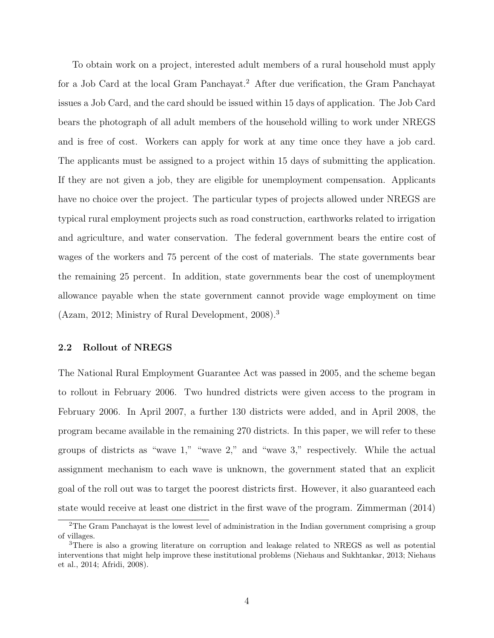To obtain work on a project, interested adult members of a rural household must apply for a Job Card at the local Gram Panchayat.<sup>2</sup> After due verification, the Gram Panchayat issues a Job Card, and the card should be issued within 15 days of application. The Job Card bears the photograph of all adult members of the household willing to work under NREGS and is free of cost. Workers can apply for work at any time once they have a job card. The applicants must be assigned to a project within 15 days of submitting the application. If they are not given a job, they are eligible for unemployment compensation. Applicants have no choice over the project. The particular types of projects allowed under NREGS are typical rural employment projects such as road construction, earthworks related to irrigation and agriculture, and water conservation. The federal government bears the entire cost of wages of the workers and 75 percent of the cost of materials. The state governments bear the remaining 25 percent. In addition, state governments bear the cost of unemployment allowance payable when the state government cannot provide wage employment on time (Azam, 2012; Ministry of Rural Development, 2008).<sup>3</sup>

#### 2.2 Rollout of NREGS

The National Rural Employment Guarantee Act was passed in 2005, and the scheme began to rollout in February 2006. Two hundred districts were given access to the program in February 2006. In April 2007, a further 130 districts were added, and in April 2008, the program became available in the remaining 270 districts. In this paper, we will refer to these groups of districts as "wave 1," "wave 2," and "wave 3," respectively. While the actual assignment mechanism to each wave is unknown, the government stated that an explicit goal of the roll out was to target the poorest districts first. However, it also guaranteed each state would receive at least one district in the first wave of the program. Zimmerman (2014)

<sup>&</sup>lt;sup>2</sup>The Gram Panchayat is the lowest level of administration in the Indian government comprising a group of villages.

<sup>3</sup>There is also a growing literature on corruption and leakage related to NREGS as well as potential interventions that might help improve these institutional problems (Niehaus and Sukhtankar, 2013; Niehaus et al., 2014; Afridi, 2008).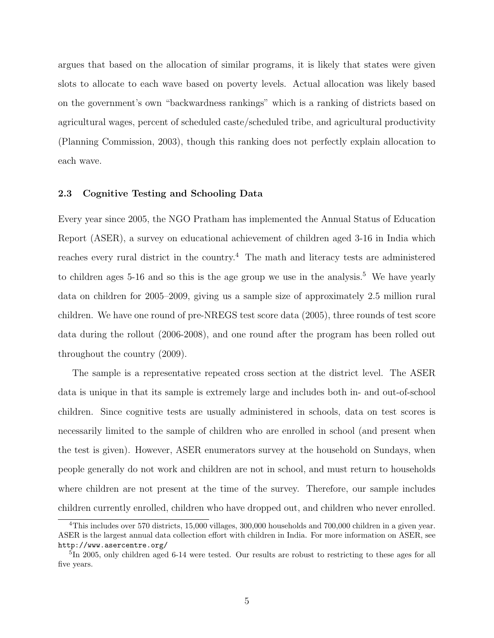argues that based on the allocation of similar programs, it is likely that states were given slots to allocate to each wave based on poverty levels. Actual allocation was likely based on the government's own "backwardness rankings" which is a ranking of districts based on agricultural wages, percent of scheduled caste/scheduled tribe, and agricultural productivity (Planning Commission, 2003), though this ranking does not perfectly explain allocation to each wave.

#### 2.3 Cognitive Testing and Schooling Data

Every year since 2005, the NGO Pratham has implemented the Annual Status of Education Report (ASER), a survey on educational achievement of children aged 3-16 in India which reaches every rural district in the country.<sup>4</sup> The math and literacy tests are administered to children ages 5-16 and so this is the age group we use in the analysis.<sup>5</sup> We have yearly data on children for 2005–2009, giving us a sample size of approximately 2.5 million rural children. We have one round of pre-NREGS test score data (2005), three rounds of test score data during the rollout (2006-2008), and one round after the program has been rolled out throughout the country (2009).

The sample is a representative repeated cross section at the district level. The ASER data is unique in that its sample is extremely large and includes both in- and out-of-school children. Since cognitive tests are usually administered in schools, data on test scores is necessarily limited to the sample of children who are enrolled in school (and present when the test is given). However, ASER enumerators survey at the household on Sundays, when people generally do not work and children are not in school, and must return to households where children are not present at the time of the survey. Therefore, our sample includes children currently enrolled, children who have dropped out, and children who never enrolled.

<sup>&</sup>lt;sup>4</sup>This includes over 570 districts, 15,000 villages, 300,000 households and 700,000 children in a given year. ASER is the largest annual data collection effort with children in India. For more information on ASER, see http://www.asercentre.org/

<sup>&</sup>lt;sup>5</sup>In 2005, only children aged 6-14 were tested. Our results are robust to restricting to these ages for all five years.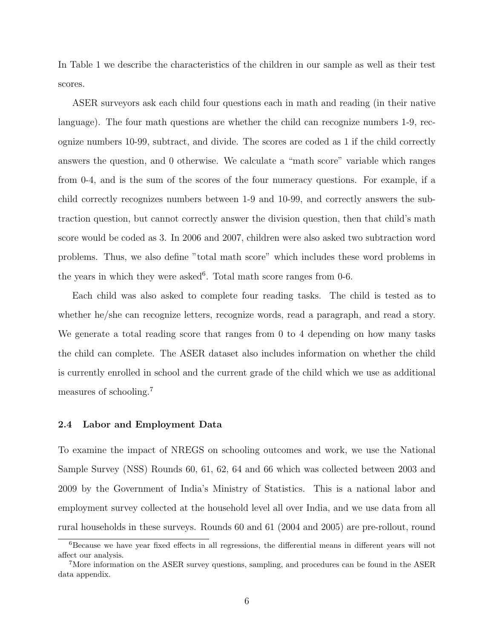In Table 1 we describe the characteristics of the children in our sample as well as their test scores.

ASER surveyors ask each child four questions each in math and reading (in their native language). The four math questions are whether the child can recognize numbers 1-9, recognize numbers 10-99, subtract, and divide. The scores are coded as 1 if the child correctly answers the question, and 0 otherwise. We calculate a "math score" variable which ranges from 0-4, and is the sum of the scores of the four numeracy questions. For example, if a child correctly recognizes numbers between 1-9 and 10-99, and correctly answers the subtraction question, but cannot correctly answer the division question, then that child's math score would be coded as 3. In 2006 and 2007, children were also asked two subtraction word problems. Thus, we also define "total math score" which includes these word problems in the years in which they were asked<sup>6</sup>. Total math score ranges from  $0-6$ .

Each child was also asked to complete four reading tasks. The child is tested as to whether he/she can recognize letters, recognize words, read a paragraph, and read a story. We generate a total reading score that ranges from 0 to 4 depending on how many tasks the child can complete. The ASER dataset also includes information on whether the child is currently enrolled in school and the current grade of the child which we use as additional measures of schooling.<sup>7</sup>

#### 2.4 Labor and Employment Data

To examine the impact of NREGS on schooling outcomes and work, we use the National Sample Survey (NSS) Rounds 60, 61, 62, 64 and 66 which was collected between 2003 and 2009 by the Government of India's Ministry of Statistics. This is a national labor and employment survey collected at the household level all over India, and we use data from all rural households in these surveys. Rounds 60 and 61 (2004 and 2005) are pre-rollout, round

<sup>6</sup>Because we have year fixed effects in all regressions, the differential means in different years will not affect our analysis.

<sup>7</sup>More information on the ASER survey questions, sampling, and procedures can be found in the ASER data appendix.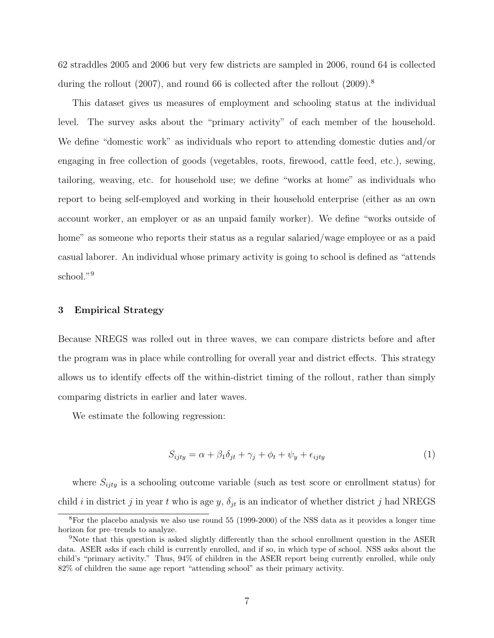62 straddles 2005 and 2006 but very few districts are sampled in 2006, round 64 is collected during the rollout (2007), and round 66 is collected after the rollout (2009).<sup>8</sup>

This dataset gives us measures of employment and schooling status at the individual level. The survey asks about the "primary activity" of each member of the household. We define "domestic work" as individuals who report to attending domestic duties and/or engaging in free collection of goods (vegetables, roots, firewood, cattle feed, etc.), sewing, tailoring, weaving, etc. for household use; we define "works at home" as individuals who report to being self-employed and working in their household enterprise (either as an own account worker, an employer or as an unpaid family worker). We define "works outside of home" as someone who reports their status as a regular salaried/wage employee or as a paid casual laborer. An individual whose primary activity is going to school is defined as "attends school."<sup>9</sup>

#### 3 Empirical Strategy

Because NREGS was rolled out in three waves, we can compare districts before and after the program was in place while controlling for overall year and district effects. This strategy allows us to identify effects off the within-district timing of the rollout, rather than simply comparing districts in earlier and later waves.

We estimate the following regression:

$$
S_{ijty} = \alpha + \beta_1 \delta_{jt} + \gamma_j + \phi_t + \psi_y + \epsilon_{ijty}
$$
\n<sup>(1)</sup>

where  $S_{ijty}$  is a schooling outcome variable (such as test score or enrollment status) for child i in district j in year t who is age y,  $\delta_{it}$  is an indicator of whether district j had NREGS

<sup>8</sup>For the placebo analysis we also use round 55 (1999-2000) of the NSS data as it provides a longer time horizon for pre–trends to analyze.

<sup>9</sup>Note that this question is asked slightly differently than the school enrollment question in the ASER data. ASER asks if each child is currently enrolled, and if so, in which type of school. NSS asks about the child's "primary activity." Thus, 94% of children in the ASER report being currently enrolled, while only 82% of children the same age report "attending school" as their primary activity.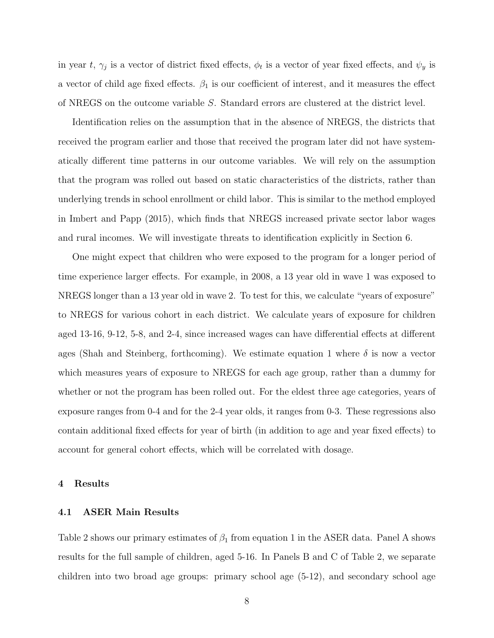in year t,  $\gamma_j$  is a vector of district fixed effects,  $\phi_t$  is a vector of year fixed effects, and  $\psi_y$  is a vector of child age fixed effects.  $\beta_1$  is our coefficient of interest, and it measures the effect of NREGS on the outcome variable S. Standard errors are clustered at the district level.

Identification relies on the assumption that in the absence of NREGS, the districts that received the program earlier and those that received the program later did not have systematically different time patterns in our outcome variables. We will rely on the assumption that the program was rolled out based on static characteristics of the districts, rather than underlying trends in school enrollment or child labor. This is similar to the method employed in Imbert and Papp (2015), which finds that NREGS increased private sector labor wages and rural incomes. We will investigate threats to identification explicitly in Section 6.

One might expect that children who were exposed to the program for a longer period of time experience larger effects. For example, in 2008, a 13 year old in wave 1 was exposed to NREGS longer than a 13 year old in wave 2. To test for this, we calculate "years of exposure" to NREGS for various cohort in each district. We calculate years of exposure for children aged 13-16, 9-12, 5-8, and 2-4, since increased wages can have differential effects at different ages (Shah and Steinberg, forthcoming). We estimate equation 1 where  $\delta$  is now a vector which measures years of exposure to NREGS for each age group, rather than a dummy for whether or not the program has been rolled out. For the eldest three age categories, years of exposure ranges from 0-4 and for the 2-4 year olds, it ranges from 0-3. These regressions also contain additional fixed effects for year of birth (in addition to age and year fixed effects) to account for general cohort effects, which will be correlated with dosage.

#### 4 Results

#### 4.1 ASER Main Results

Table 2 shows our primary estimates of  $\beta_1$  from equation 1 in the ASER data. Panel A shows results for the full sample of children, aged 5-16. In Panels B and C of Table 2, we separate children into two broad age groups: primary school age (5-12), and secondary school age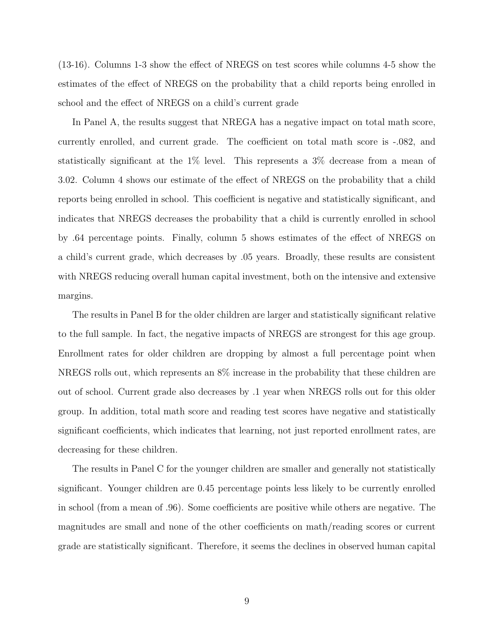(13-16). Columns 1-3 show the effect of NREGS on test scores while columns 4-5 show the estimates of the effect of NREGS on the probability that a child reports being enrolled in school and the effect of NREGS on a child's current grade

In Panel A, the results suggest that NREGA has a negative impact on total math score, currently enrolled, and current grade. The coefficient on total math score is -.082, and statistically significant at the 1% level. This represents a 3% decrease from a mean of 3.02. Column 4 shows our estimate of the effect of NREGS on the probability that a child reports being enrolled in school. This coefficient is negative and statistically significant, and indicates that NREGS decreases the probability that a child is currently enrolled in school by .64 percentage points. Finally, column 5 shows estimates of the effect of NREGS on a child's current grade, which decreases by .05 years. Broadly, these results are consistent with NREGS reducing overall human capital investment, both on the intensive and extensive margins.

The results in Panel B for the older children are larger and statistically significant relative to the full sample. In fact, the negative impacts of NREGS are strongest for this age group. Enrollment rates for older children are dropping by almost a full percentage point when NREGS rolls out, which represents an 8% increase in the probability that these children are out of school. Current grade also decreases by .1 year when NREGS rolls out for this older group. In addition, total math score and reading test scores have negative and statistically significant coefficients, which indicates that learning, not just reported enrollment rates, are decreasing for these children.

The results in Panel C for the younger children are smaller and generally not statistically significant. Younger children are 0.45 percentage points less likely to be currently enrolled in school (from a mean of .96). Some coefficients are positive while others are negative. The magnitudes are small and none of the other coefficients on math/reading scores or current grade are statistically significant. Therefore, it seems the declines in observed human capital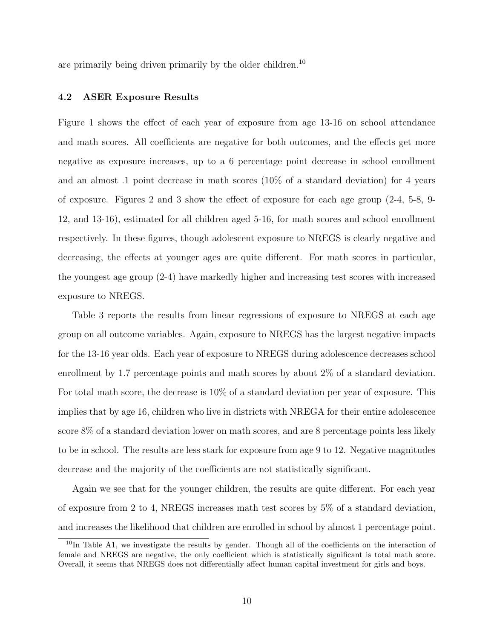are primarily being driven primarily by the older children.<sup>10</sup>

#### 4.2 ASER Exposure Results

Figure 1 shows the effect of each year of exposure from age 13-16 on school attendance and math scores. All coefficients are negative for both outcomes, and the effects get more negative as exposure increases, up to a 6 percentage point decrease in school enrollment and an almost .1 point decrease in math scores (10% of a standard deviation) for 4 years of exposure. Figures 2 and 3 show the effect of exposure for each age group (2-4, 5-8, 9- 12, and 13-16), estimated for all children aged 5-16, for math scores and school enrollment respectively. In these figures, though adolescent exposure to NREGS is clearly negative and decreasing, the effects at younger ages are quite different. For math scores in particular, the youngest age group (2-4) have markedly higher and increasing test scores with increased exposure to NREGS.

Table 3 reports the results from linear regressions of exposure to NREGS at each age group on all outcome variables. Again, exposure to NREGS has the largest negative impacts for the 13-16 year olds. Each year of exposure to NREGS during adolescence decreases school enrollment by 1.7 percentage points and math scores by about 2% of a standard deviation. For total math score, the decrease is 10% of a standard deviation per year of exposure. This implies that by age 16, children who live in districts with NREGA for their entire adolescence score 8% of a standard deviation lower on math scores, and are 8 percentage points less likely to be in school. The results are less stark for exposure from age 9 to 12. Negative magnitudes decrease and the majority of the coefficients are not statistically significant.

Again we see that for the younger children, the results are quite different. For each year of exposure from 2 to 4, NREGS increases math test scores by 5% of a standard deviation, and increases the likelihood that children are enrolled in school by almost 1 percentage point.

 $10$ In Table A1, we investigate the results by gender. Though all of the coefficients on the interaction of female and NREGS are negative, the only coefficient which is statistically significant is total math score. Overall, it seems that NREGS does not differentially affect human capital investment for girls and boys.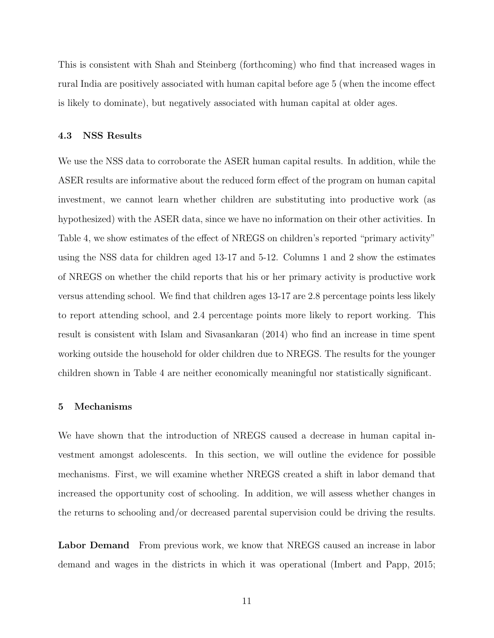This is consistent with Shah and Steinberg (forthcoming) who find that increased wages in rural India are positively associated with human capital before age 5 (when the income effect is likely to dominate), but negatively associated with human capital at older ages.

#### 4.3 NSS Results

We use the NSS data to corroborate the ASER human capital results. In addition, while the ASER results are informative about the reduced form effect of the program on human capital investment, we cannot learn whether children are substituting into productive work (as hypothesized) with the ASER data, since we have no information on their other activities. In Table 4, we show estimates of the effect of NREGS on children's reported "primary activity" using the NSS data for children aged 13-17 and 5-12. Columns 1 and 2 show the estimates of NREGS on whether the child reports that his or her primary activity is productive work versus attending school. We find that children ages 13-17 are 2.8 percentage points less likely to report attending school, and 2.4 percentage points more likely to report working. This result is consistent with Islam and Sivasankaran (2014) who find an increase in time spent working outside the household for older children due to NREGS. The results for the younger children shown in Table 4 are neither economically meaningful nor statistically significant.

#### 5 Mechanisms

We have shown that the introduction of NREGS caused a decrease in human capital investment amongst adolescents. In this section, we will outline the evidence for possible mechanisms. First, we will examine whether NREGS created a shift in labor demand that increased the opportunity cost of schooling. In addition, we will assess whether changes in the returns to schooling and/or decreased parental supervision could be driving the results.

Labor Demand From previous work, we know that NREGS caused an increase in labor demand and wages in the districts in which it was operational (Imbert and Papp, 2015;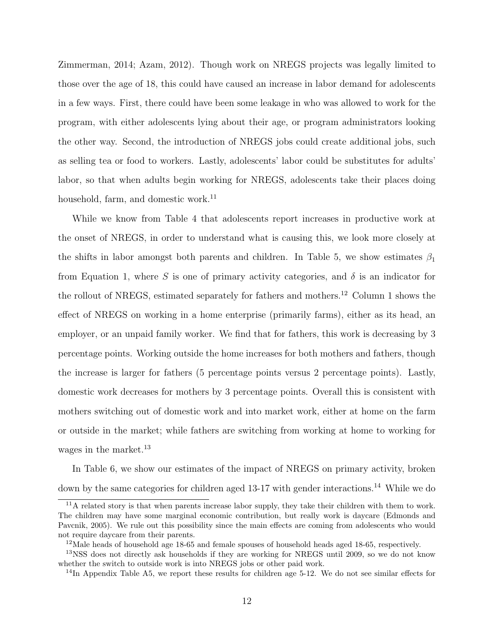Zimmerman, 2014; Azam, 2012). Though work on NREGS projects was legally limited to those over the age of 18, this could have caused an increase in labor demand for adolescents in a few ways. First, there could have been some leakage in who was allowed to work for the program, with either adolescents lying about their age, or program administrators looking the other way. Second, the introduction of NREGS jobs could create additional jobs, such as selling tea or food to workers. Lastly, adolescents' labor could be substitutes for adults' labor, so that when adults begin working for NREGS, adolescents take their places doing household, farm, and domestic work.<sup>11</sup>

While we know from Table 4 that adolescents report increases in productive work at the onset of NREGS, in order to understand what is causing this, we look more closely at the shifts in labor amongst both parents and children. In Table 5, we show estimates  $\beta_1$ from Equation 1, where S is one of primary activity categories, and  $\delta$  is an indicator for the rollout of NREGS, estimated separately for fathers and mothers.<sup>12</sup> Column 1 shows the effect of NREGS on working in a home enterprise (primarily farms), either as its head, an employer, or an unpaid family worker. We find that for fathers, this work is decreasing by 3 percentage points. Working outside the home increases for both mothers and fathers, though the increase is larger for fathers (5 percentage points versus 2 percentage points). Lastly, domestic work decreases for mothers by 3 percentage points. Overall this is consistent with mothers switching out of domestic work and into market work, either at home on the farm or outside in the market; while fathers are switching from working at home to working for wages in the market.<sup>13</sup>

In Table 6, we show our estimates of the impact of NREGS on primary activity, broken down by the same categories for children aged 13-17 with gender interactions.<sup>14</sup> While we do

<sup>&</sup>lt;sup>11</sup>A related story is that when parents increase labor supply, they take their children with them to work. The children may have some marginal economic contribution, but really work is daycare (Edmonds and Pavcnik, 2005). We rule out this possibility since the main effects are coming from adolescents who would not require daycare from their parents.

<sup>&</sup>lt;sup>12</sup>Male heads of household age 18-65 and female spouses of household heads aged 18-65, respectively.

<sup>&</sup>lt;sup>13</sup>NSS does not directly ask households if they are working for NREGS until 2009, so we do not know whether the switch to outside work is into NREGS jobs or other paid work.

 $14$ In Appendix Table A5, we report these results for children age 5-12. We do not see similar effects for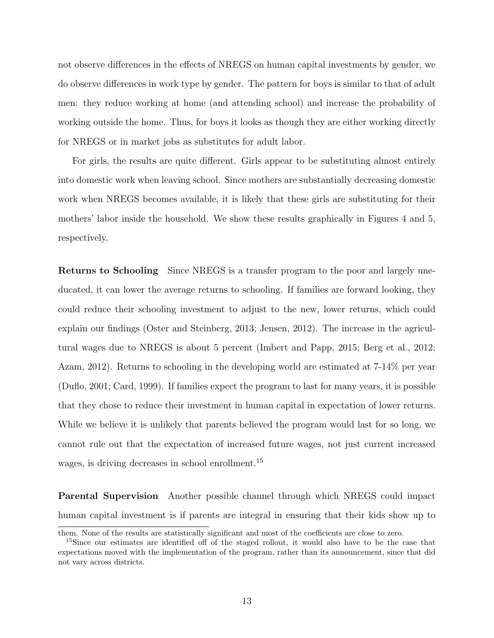not observe differences in the effects of NREGS on human capital investments by gender, we do observe differences in work type by gender. The pattern for boys is similar to that of adult men: they reduce working at home (and attending school) and increase the probability of working outside the home. Thus, for boys it looks as though they are either working directly for NREGS or in market jobs as substitutes for adult labor.

For girls, the results are quite different. Girls appear to be substituting almost entirely into domestic work when leaving school. Since mothers are substantially decreasing domestic work when NREGS becomes available, it is likely that these girls are substituting for their mothers' labor inside the household. We show these results graphically in Figures 4 and 5, respectively.

Returns to Schooling Since NREGS is a transfer program to the poor and largely uneducated, it can lower the average returns to schooling. If families are forward looking, they could reduce their schooling investment to adjust to the new, lower returns, which could explain our findings (Oster and Steinberg, 2013; Jensen, 2012). The increase in the agricultural wages due to NREGS is about 5 percent (Imbert and Papp, 2015; Berg et al., 2012; Azam, 2012). Returns to schooling in the developing world are estimated at 7-14% per year (Duflo, 2001; Card, 1999). If families expect the program to last for many years, it is possible that they chose to reduce their investment in human capital in expectation of lower returns. While we believe it is unlikely that parents believed the program would last for so long, we cannot rule out that the expectation of increased future wages, not just current increased wages, is driving decreases in school enrollment.<sup>15</sup>

Parental Supervision Another possible channel through which NREGS could impact human capital investment is if parents are integral in ensuring that their kids show up to

them. None of the results are statistically significant and most of the coefficients are close to zero.

<sup>&</sup>lt;sup>15</sup>Since our estimates are identified off of the staged rollout, it would also have to be the case that expectations moved with the implementation of the program, rather than its announcement, since that did not vary across districts.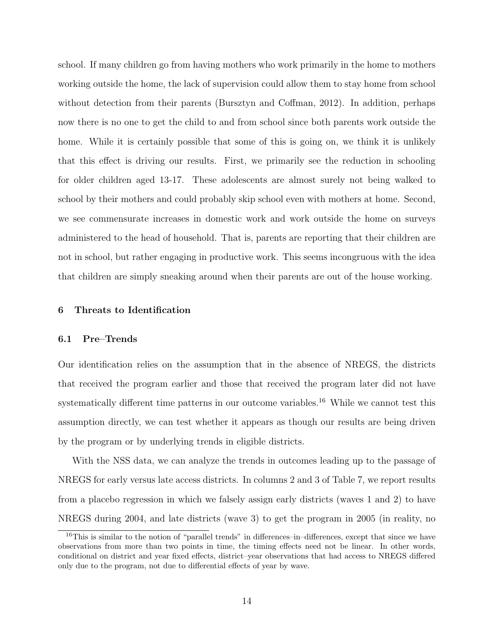school. If many children go from having mothers who work primarily in the home to mothers working outside the home, the lack of supervision could allow them to stay home from school without detection from their parents (Bursztyn and Coffman, 2012). In addition, perhaps now there is no one to get the child to and from school since both parents work outside the home. While it is certainly possible that some of this is going on, we think it is unlikely that this effect is driving our results. First, we primarily see the reduction in schooling for older children aged 13-17. These adolescents are almost surely not being walked to school by their mothers and could probably skip school even with mothers at home. Second, we see commensurate increases in domestic work and work outside the home on surveys administered to the head of household. That is, parents are reporting that their children are not in school, but rather engaging in productive work. This seems incongruous with the idea that children are simply sneaking around when their parents are out of the house working.

#### 6 Threats to Identification

#### 6.1 Pre–Trends

Our identification relies on the assumption that in the absence of NREGS, the districts that received the program earlier and those that received the program later did not have systematically different time patterns in our outcome variables.<sup>16</sup> While we cannot test this assumption directly, we can test whether it appears as though our results are being driven by the program or by underlying trends in eligible districts.

With the NSS data, we can analyze the trends in outcomes leading up to the passage of NREGS for early versus late access districts. In columns 2 and 3 of Table 7, we report results from a placebo regression in which we falsely assign early districts (waves 1 and 2) to have NREGS during 2004, and late districts (wave 3) to get the program in 2005 (in reality, no

<sup>&</sup>lt;sup>16</sup>This is similar to the notion of "parallel trends" in differences–in–differences, except that since we have observations from more than two points in time, the timing effects need not be linear. In other words, conditional on district and year fixed effects, district–year observations that had access to NREGS differed only due to the program, not due to differential effects of year by wave.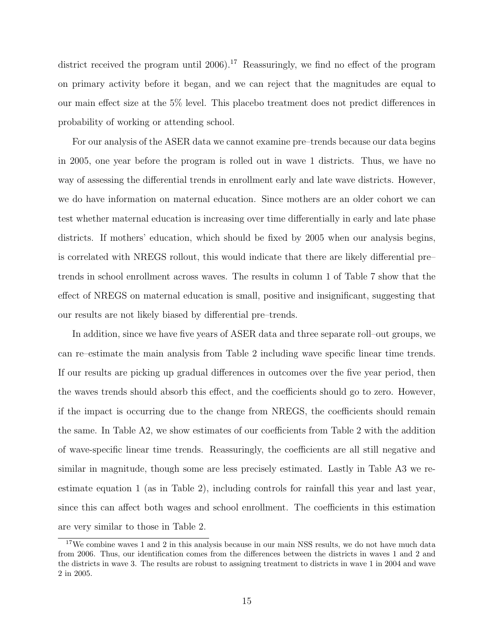district received the program until 2006).<sup>17</sup> Reassuringly, we find no effect of the program on primary activity before it began, and we can reject that the magnitudes are equal to our main effect size at the 5% level. This placebo treatment does not predict differences in probability of working or attending school.

For our analysis of the ASER data we cannot examine pre–trends because our data begins in 2005, one year before the program is rolled out in wave 1 districts. Thus, we have no way of assessing the differential trends in enrollment early and late wave districts. However, we do have information on maternal education. Since mothers are an older cohort we can test whether maternal education is increasing over time differentially in early and late phase districts. If mothers' education, which should be fixed by 2005 when our analysis begins, is correlated with NREGS rollout, this would indicate that there are likely differential pre– trends in school enrollment across waves. The results in column 1 of Table 7 show that the effect of NREGS on maternal education is small, positive and insignificant, suggesting that our results are not likely biased by differential pre–trends.

In addition, since we have five years of ASER data and three separate roll–out groups, we can re–estimate the main analysis from Table 2 including wave specific linear time trends. If our results are picking up gradual differences in outcomes over the five year period, then the waves trends should absorb this effect, and the coefficients should go to zero. However, if the impact is occurring due to the change from NREGS, the coefficients should remain the same. In Table A2, we show estimates of our coefficients from Table 2 with the addition of wave-specific linear time trends. Reassuringly, the coefficients are all still negative and similar in magnitude, though some are less precisely estimated. Lastly in Table A3 we reestimate equation 1 (as in Table 2), including controls for rainfall this year and last year, since this can affect both wages and school enrollment. The coefficients in this estimation are very similar to those in Table 2.

<sup>&</sup>lt;sup>17</sup>We combine waves 1 and 2 in this analysis because in our main NSS results, we do not have much data from 2006. Thus, our identification comes from the differences between the districts in waves 1 and 2 and the districts in wave 3. The results are robust to assigning treatment to districts in wave 1 in 2004 and wave 2 in 2005.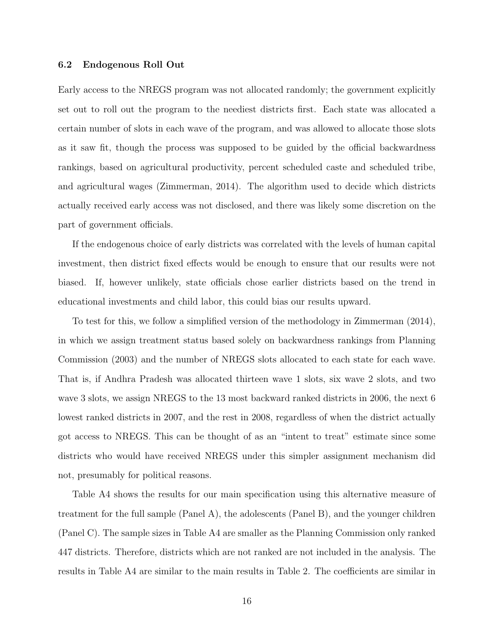#### 6.2 Endogenous Roll Out

Early access to the NREGS program was not allocated randomly; the government explicitly set out to roll out the program to the neediest districts first. Each state was allocated a certain number of slots in each wave of the program, and was allowed to allocate those slots as it saw fit, though the process was supposed to be guided by the official backwardness rankings, based on agricultural productivity, percent scheduled caste and scheduled tribe, and agricultural wages (Zimmerman, 2014). The algorithm used to decide which districts actually received early access was not disclosed, and there was likely some discretion on the part of government officials.

If the endogenous choice of early districts was correlated with the levels of human capital investment, then district fixed effects would be enough to ensure that our results were not biased. If, however unlikely, state officials chose earlier districts based on the trend in educational investments and child labor, this could bias our results upward.

To test for this, we follow a simplified version of the methodology in Zimmerman (2014), in which we assign treatment status based solely on backwardness rankings from Planning Commission (2003) and the number of NREGS slots allocated to each state for each wave. That is, if Andhra Pradesh was allocated thirteen wave 1 slots, six wave 2 slots, and two wave 3 slots, we assign NREGS to the 13 most backward ranked districts in 2006, the next 6 lowest ranked districts in 2007, and the rest in 2008, regardless of when the district actually got access to NREGS. This can be thought of as an "intent to treat" estimate since some districts who would have received NREGS under this simpler assignment mechanism did not, presumably for political reasons.

Table A4 shows the results for our main specification using this alternative measure of treatment for the full sample (Panel A), the adolescents (Panel B), and the younger children (Panel C). The sample sizes in Table A4 are smaller as the Planning Commission only ranked 447 districts. Therefore, districts which are not ranked are not included in the analysis. The results in Table A4 are similar to the main results in Table 2. The coefficients are similar in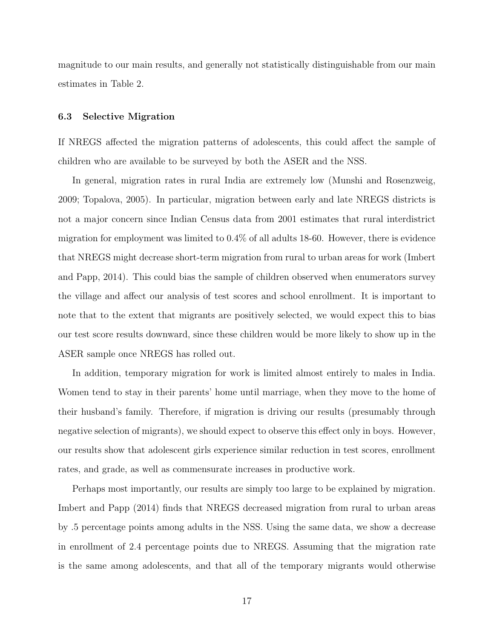magnitude to our main results, and generally not statistically distinguishable from our main estimates in Table 2.

#### 6.3 Selective Migration

If NREGS affected the migration patterns of adolescents, this could affect the sample of children who are available to be surveyed by both the ASER and the NSS.

In general, migration rates in rural India are extremely low (Munshi and Rosenzweig, 2009; Topalova, 2005). In particular, migration between early and late NREGS districts is not a major concern since Indian Census data from 2001 estimates that rural interdistrict migration for employment was limited to 0.4% of all adults 18-60. However, there is evidence that NREGS might decrease short-term migration from rural to urban areas for work (Imbert and Papp, 2014). This could bias the sample of children observed when enumerators survey the village and affect our analysis of test scores and school enrollment. It is important to note that to the extent that migrants are positively selected, we would expect this to bias our test score results downward, since these children would be more likely to show up in the ASER sample once NREGS has rolled out.

In addition, temporary migration for work is limited almost entirely to males in India. Women tend to stay in their parents' home until marriage, when they move to the home of their husband's family. Therefore, if migration is driving our results (presumably through negative selection of migrants), we should expect to observe this effect only in boys. However, our results show that adolescent girls experience similar reduction in test scores, enrollment rates, and grade, as well as commensurate increases in productive work.

Perhaps most importantly, our results are simply too large to be explained by migration. Imbert and Papp (2014) finds that NREGS decreased migration from rural to urban areas by .5 percentage points among adults in the NSS. Using the same data, we show a decrease in enrollment of 2.4 percentage points due to NREGS. Assuming that the migration rate is the same among adolescents, and that all of the temporary migrants would otherwise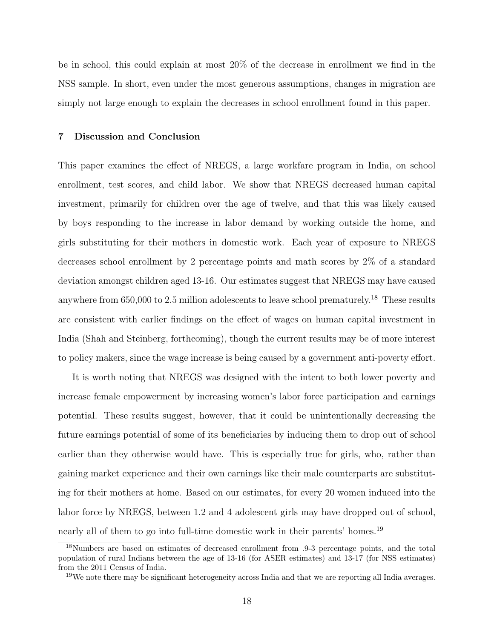be in school, this could explain at most 20% of the decrease in enrollment we find in the NSS sample. In short, even under the most generous assumptions, changes in migration are simply not large enough to explain the decreases in school enrollment found in this paper.

#### 7 Discussion and Conclusion

This paper examines the effect of NREGS, a large workfare program in India, on school enrollment, test scores, and child labor. We show that NREGS decreased human capital investment, primarily for children over the age of twelve, and that this was likely caused by boys responding to the increase in labor demand by working outside the home, and girls substituting for their mothers in domestic work. Each year of exposure to NREGS decreases school enrollment by 2 percentage points and math scores by 2% of a standard deviation amongst children aged 13-16. Our estimates suggest that NREGS may have caused anywhere from  $650,000$  to  $2.5$  million adolescents to leave school prematurely.<sup>18</sup> These results are consistent with earlier findings on the effect of wages on human capital investment in India (Shah and Steinberg, forthcoming), though the current results may be of more interest to policy makers, since the wage increase is being caused by a government anti-poverty effort.

It is worth noting that NREGS was designed with the intent to both lower poverty and increase female empowerment by increasing women's labor force participation and earnings potential. These results suggest, however, that it could be unintentionally decreasing the future earnings potential of some of its beneficiaries by inducing them to drop out of school earlier than they otherwise would have. This is especially true for girls, who, rather than gaining market experience and their own earnings like their male counterparts are substituting for their mothers at home. Based on our estimates, for every 20 women induced into the labor force by NREGS, between 1.2 and 4 adolescent girls may have dropped out of school, nearly all of them to go into full-time domestic work in their parents' homes.<sup>19</sup>

<sup>18</sup>Numbers are based on estimates of decreased enrollment from .9-3 percentage points, and the total population of rural Indians between the age of 13-16 (for ASER estimates) and 13-17 (for NSS estimates) from the 2011 Census of India.

 $19W$ e note there may be significant heterogeneity across India and that we are reporting all India averages.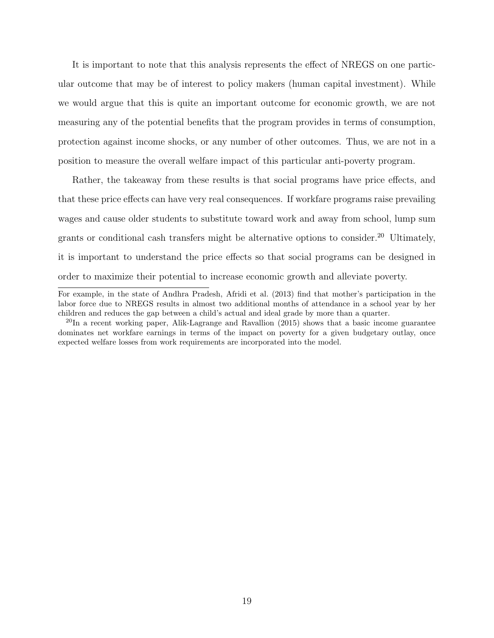It is important to note that this analysis represents the effect of NREGS on one particular outcome that may be of interest to policy makers (human capital investment). While we would argue that this is quite an important outcome for economic growth, we are not measuring any of the potential benefits that the program provides in terms of consumption, protection against income shocks, or any number of other outcomes. Thus, we are not in a position to measure the overall welfare impact of this particular anti-poverty program.

Rather, the takeaway from these results is that social programs have price effects, and that these price effects can have very real consequences. If workfare programs raise prevailing wages and cause older students to substitute toward work and away from school, lump sum grants or conditional cash transfers might be alternative options to consider.<sup>20</sup> Ultimately, it is important to understand the price effects so that social programs can be designed in order to maximize their potential to increase economic growth and alleviate poverty.

For example, in the state of Andhra Pradesh, Afridi et al. (2013) find that mother's participation in the labor force due to NREGS results in almost two additional months of attendance in a school year by her children and reduces the gap between a child's actual and ideal grade by more than a quarter.

<sup>&</sup>lt;sup>20</sup>In a recent working paper, Alik-Lagrange and Ravallion (2015) shows that a basic income guarantee dominates net workfare earnings in terms of the impact on poverty for a given budgetary outlay, once expected welfare losses from work requirements are incorporated into the model.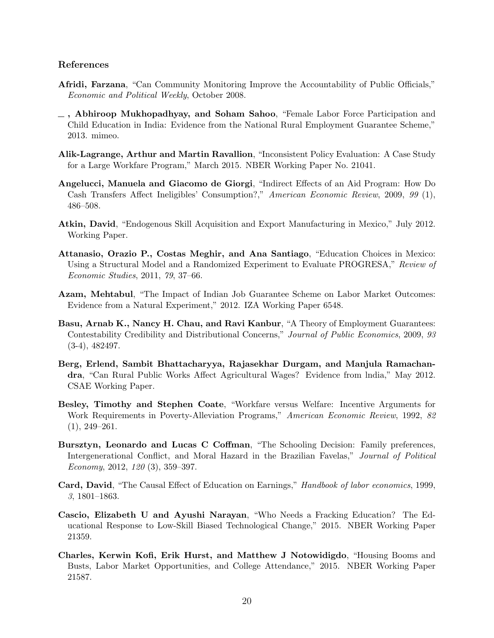#### References

- Afridi, Farzana, "Can Community Monitoring Improve the Accountability of Public Officials," Economic and Political Weekly, October 2008.
- , Abhiroop Mukhopadhyay, and Soham Sahoo, "Female Labor Force Participation and Child Education in India: Evidence from the National Rural Employment Guarantee Scheme," 2013. mimeo.
- Alik-Lagrange, Arthur and Martin Ravallion, "Inconsistent Policy Evaluation: A Case Study for a Large Workfare Program," March 2015. NBER Working Paper No. 21041.
- Angelucci, Manuela and Giacomo de Giorgi, "Indirect Effects of an Aid Program: How Do Cash Transfers Affect Ineligibles' Consumption?," American Economic Review, 2009, 99 (1), 486–508.
- Atkin, David, "Endogenous Skill Acquisition and Export Manufacturing in Mexico," July 2012. Working Paper.
- Attanasio, Orazio P., Costas Meghir, and Ana Santiago, "Education Choices in Mexico: Using a Structural Model and a Randomized Experiment to Evaluate PROGRESA," Review of Economic Studies, 2011, 79, 37–66.
- Azam, Mehtabul, "The Impact of Indian Job Guarantee Scheme on Labor Market Outcomes: Evidence from a Natural Experiment," 2012. IZA Working Paper 6548.
- Basu, Arnab K., Nancy H. Chau, and Ravi Kanbur, "A Theory of Employment Guarantees: Contestability Credibility and Distributional Concerns," Journal of Public Economics, 2009, 93 (3-4), 482497.
- Berg, Erlend, Sambit Bhattacharyya, Rajasekhar Durgam, and Manjula Ramachandra, "Can Rural Public Works Affect Agricultural Wages? Evidence from lndia," May 2012. CSAE Working Paper.
- Besley, Timothy and Stephen Coate, "Workfare versus Welfare: Incentive Arguments for Work Requirements in Poverty-Alleviation Programs," American Economic Review, 1992, 82 (1), 249–261.
- Bursztyn, Leonardo and Lucas C Coffman, "The Schooling Decision: Family preferences, Intergenerational Conflict, and Moral Hazard in the Brazilian Favelas," Journal of Political Economy, 2012, 120 (3), 359–397.
- Card, David, "The Causal Effect of Education on Earnings," Handbook of labor economics, 1999, 3, 1801–1863.
- Cascio, Elizabeth U and Ayushi Narayan, "Who Needs a Fracking Education? The Educational Response to Low-Skill Biased Technological Change," 2015. NBER Working Paper 21359.
- Charles, Kerwin Kofi, Erik Hurst, and Matthew J Notowidigdo, "Housing Booms and Busts, Labor Market Opportunities, and College Attendance," 2015. NBER Working Paper 21587.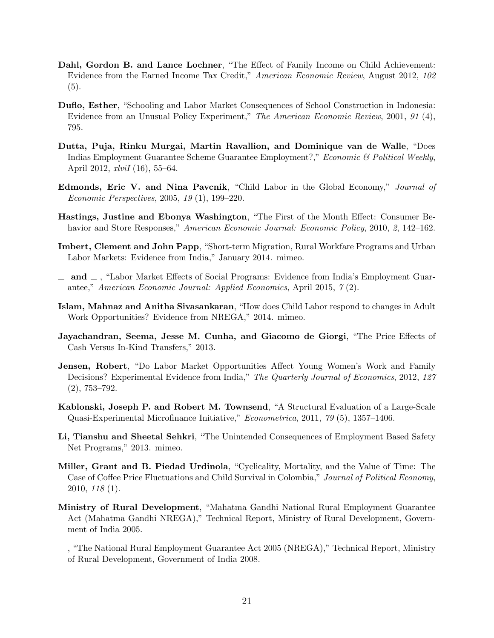- Dahl, Gordon B. and Lance Lochner, "The Effect of Family Income on Child Achievement: Evidence from the Earned Income Tax Credit," American Economic Review, August 2012, 102 (5).
- Duflo, Esther, "Schooling and Labor Market Consequences of School Construction in Indonesia: Evidence from an Unusual Policy Experiment," The American Economic Review, 2001, 91 (4), 795.
- Dutta, Puja, Rinku Murgai, Martin Ravallion, and Dominique van de Walle, "Does Indias Employment Guarantee Scheme Guarantee Employment?," Economic & Political Weekly, April 2012, xlviI (16), 55–64.
- Edmonds, Eric V. and Nina Pavcnik, "Child Labor in the Global Economy," Journal of Economic Perspectives, 2005, 19 (1), 199–220.
- Hastings, Justine and Ebonya Washington, "The First of the Month Effect: Consumer Behavior and Store Responses," American Economic Journal: Economic Policy, 2010, 2, 142–162.
- Imbert, Clement and John Papp, "Short-term Migration, Rural Workfare Programs and Urban Labor Markets: Evidence from India," January 2014. mimeo.
- $\Box$  and  $\Box$ , "Labor Market Effects of Social Programs: Evidence from India's Employment Guarantee," American Economic Journal: Applied Economics, April 2015, 7 (2).
- Islam, Mahnaz and Anitha Sivasankaran, "How does Child Labor respond to changes in Adult Work Opportunities? Evidence from NREGA," 2014. mimeo.
- Jayachandran, Seema, Jesse M. Cunha, and Giacomo de Giorgi, "The Price Effects of Cash Versus In-Kind Transfers," 2013.
- Jensen, Robert, "Do Labor Market Opportunities Affect Young Women's Work and Family Decisions? Experimental Evidence from India," The Quarterly Journal of Economics, 2012, 127 (2), 753–792.
- Kablonski, Joseph P. and Robert M. Townsend, "A Structural Evaluation of a Large-Scale Quasi-Experimental Microfinance Initiative," Econometrica, 2011, 79 (5), 1357–1406.
- Li, Tianshu and Sheetal Sehkri, "The Unintended Consequences of Employment Based Safety Net Programs," 2013. mimeo.
- Miller, Grant and B. Piedad Urdinola, "Cyclicality, Mortality, and the Value of Time: The Case of Coffee Price Fluctuations and Child Survival in Colombia," Journal of Political Economy, 2010, 118 (1).
- Ministry of Rural Development, "Mahatma Gandhi National Rural Employment Guarantee Act (Mahatma Gandhi NREGA)," Technical Report, Ministry of Rural Development, Government of India 2005.
- , "The National Rural Employment Guarantee Act 2005 (NREGA)," Technical Report, Ministry of Rural Development, Government of India 2008.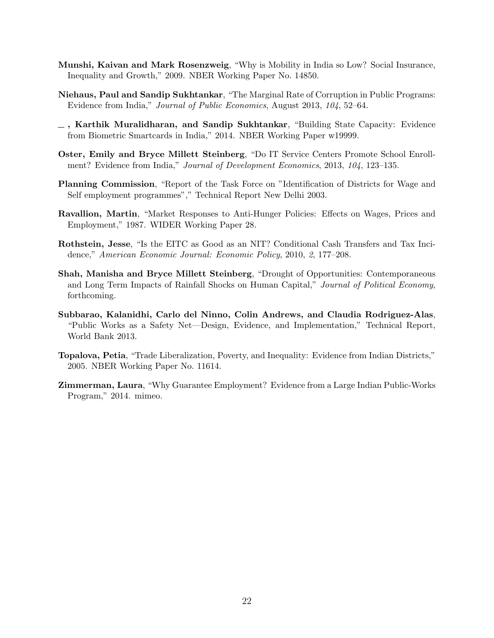- Munshi, Kaivan and Mark Rosenzweig, "Why is Mobility in India so Low? Social Insurance, Inequality and Growth," 2009. NBER Working Paper No. 14850.
- Niehaus, Paul and Sandip Sukhtankar, "The Marginal Rate of Corruption in Public Programs: Evidence from India," Journal of Public Economics, August 2013, 104, 52–64.
- $\overline{\phantom{a}}$ , Karthik Muralidharan, and Sandip Sukhtankar, "Building State Capacity: Evidence from Biometric Smartcards in India," 2014. NBER Working Paper w19999.
- Oster, Emily and Bryce Millett Steinberg, "Do IT Service Centers Promote School Enrollment? Evidence from India," Journal of Development Economics, 2013, 104, 123-135.
- Planning Commission, "Report of the Task Force on "Identification of Districts for Wage and Self employment programmes"," Technical Report New Delhi 2003.
- Ravallion, Martin, "Market Responses to Anti-Hunger Policies: Effects on Wages, Prices and Employment," 1987. WIDER Working Paper 28.
- Rothstein, Jesse, "Is the EITC as Good as an NIT? Conditional Cash Transfers and Tax Incidence," American Economic Journal: Economic Policy, 2010, 2, 177–208.
- Shah, Manisha and Bryce Millett Steinberg, "Drought of Opportunities: Contemporaneous and Long Term Impacts of Rainfall Shocks on Human Capital," Journal of Political Economy, forthcoming.
- Subbarao, Kalanidhi, Carlo del Ninno, Colin Andrews, and Claudia Rodriguez-Alas, "Public Works as a Safety Net—Design, Evidence, and Implementation," Technical Report, World Bank 2013.
- Topalova, Petia, "Trade Liberalization, Poverty, and Inequality: Evidence from Indian Districts," 2005. NBER Working Paper No. 11614.
- Zimmerman, Laura, "Why Guarantee Employment? Evidence from a Large Indian Public-Works Program," 2014. mimeo.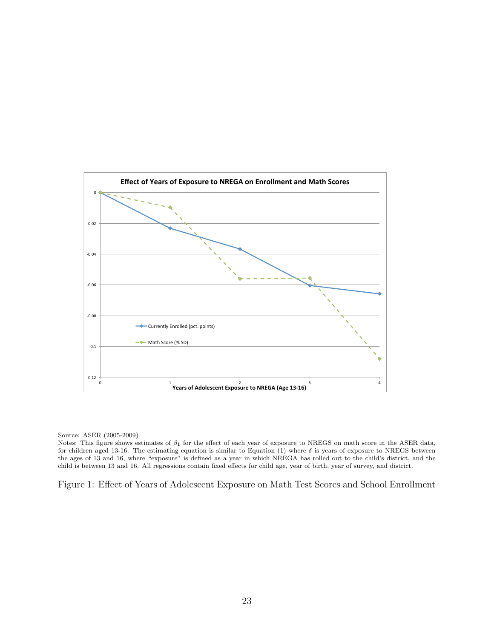

Notes: This figure shows estimates of  $\beta_1$  for the effect of each year of exposure to NREGS on math score in the ASER data, for children aged 13-16. The estimating equation is similar to Equation (1) where  $\delta$  is years of exposure to NREGS between the ages of 13 and 16, where "exposure" is defined as a year in which NREGA has rolled out to the child's district, and the child is between 13 and 16. All regressions contain fixed effects for child age, year of birth, year of survey, and district.

Figure 1: Effect of Years of Adolescent Exposure on Math Test Scores and School Enrollment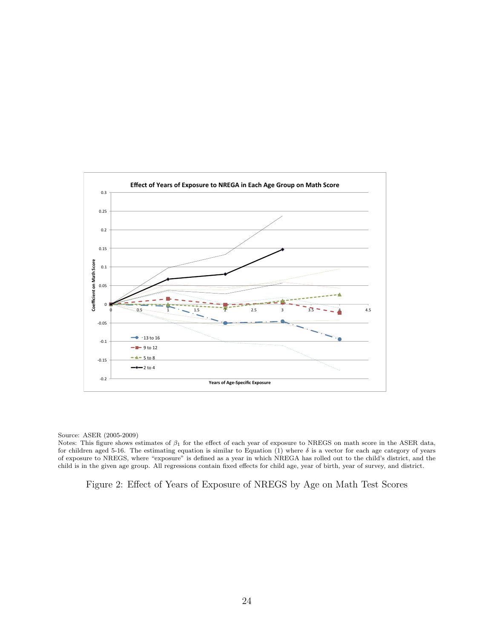

Notes: This figure shows estimates of  $\beta_1$  for the effect of each year of exposure to NREGS on math score in the ASER data, for children aged 5-16. The estimating equation is similar to Equation (1) where  $\delta$  is a vector for each age category of years of exposure to NREGS, where "exposure" is defined as a year in which NREGA has rolled out to the child's district, and the child is in the given age group. All regressions contain fixed effects for child age, year of birth, year of survey, and district.

Figure 2: Effect of Years of Exposure of NREGS by Age on Math Test Scores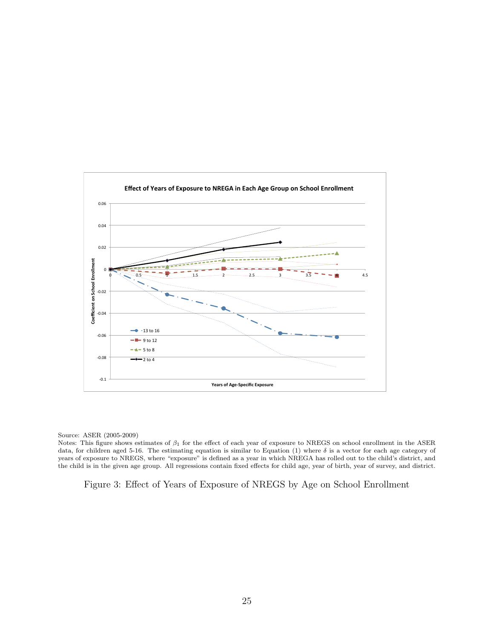

Notes: This figure shows estimates of  $\beta_1$  for the effect of each year of exposure to NREGS on school enrollment in the ASER data, for children aged 5-16. The estimating equation is similar to Equation (1) where  $\delta$  is a vector for each age category of years of exposure to NREGS, where "exposure" is defined as a year in which NREGA has rolled out to the child's district, and the child is in the given age group. All regressions contain fixed effects for child age, year of birth, year of survey, and district.

Figure 3: Effect of Years of Exposure of NREGS by Age on School Enrollment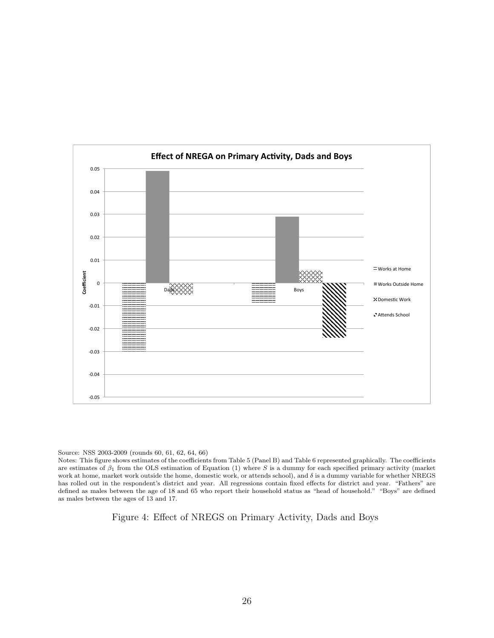

Source: NSS 2003-2009 (rounds 60, 61, 62, 64, 66)

Notes: This figure shows estimates of the coefficients from Table 5 (Panel B) and Table 6 represented graphically. The coefficients are estimates of  $\beta_1$  from the OLS estimation of Equation (1) where S is a dummy for each specified primary activity (market work at home, market work outside the home, domestic work, or attends school), and  $\delta$  is a dummy variable for whether NREGS has rolled out in the respondent's district and year. All regressions contain fixed effects for district and year. "Fathers" are defined as males between the age of 18 and 65 who report their household status as "head of household." "Boys" are defined as males between the ages of 13 and 17.

Figure 4: Effect of NREGS on Primary Activity, Dads and Boys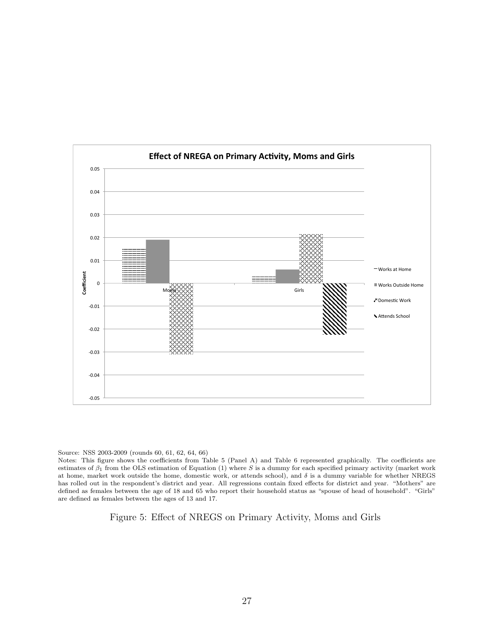

Source: NSS 2003-2009 (rounds 60, 61, 62, 64, 66)

Notes: This figure shows the coefficients from Table 5 (Panel A) and Table 6 represented graphically. The coefficients are estimates of  $\beta_1$  from the OLS estimation of Equation (1) where S is a dummy for each specified primary activity (market work at home, market work outside the home, domestic work, or attends school), and  $\delta$  is a dummy variable for whether NREGS has rolled out in the respondent's district and year. All regressions contain fixed effects for district and year. "Mothers" are defined as females between the age of 18 and 65 who report their household status as "spouse of head of household". "Girls" are defined as females between the ages of 13 and 17.

Figure 5: Effect of NREGS on Primary Activity, Moms and Girls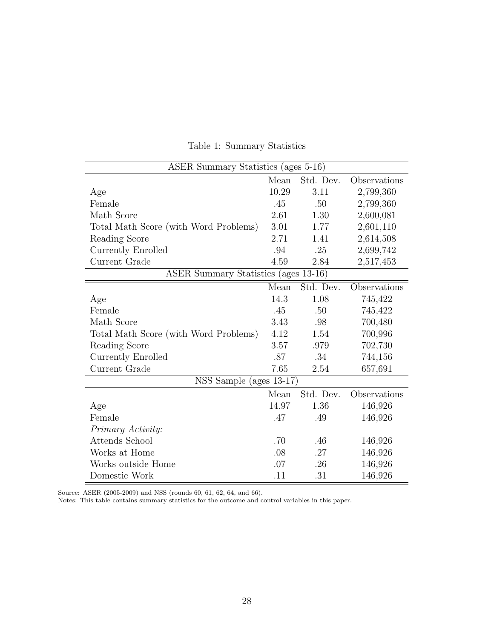| ASER Summary Statistics (ages 5-16)   |               |           |              |  |  |  |
|---------------------------------------|---------------|-----------|--------------|--|--|--|
|                                       | $\bar{M}$ ean | Std. Dev. | Observations |  |  |  |
| Age                                   | 10.29         | 3.11      | 2,799,360    |  |  |  |
| Female                                | .45           | .50       | 2,799,360    |  |  |  |
| Math Score                            | 2.61          | 1.30      | 2,600,081    |  |  |  |
| Total Math Score (with Word Problems) | 3.01          | 1.77      | 2,601,110    |  |  |  |
| Reading Score                         | 2.71          | 1.41      | 2,614,508    |  |  |  |
| Currently Enrolled                    | .94           | .25       | 2,699,742    |  |  |  |
| Current Grade                         | 4.59          | 2.84      | 2,517,453    |  |  |  |
| ASER Summary Statistics (ages 13-16)  |               |           |              |  |  |  |
|                                       | Mean          | Std. Dev. | Observations |  |  |  |
| Age                                   | 14.3          | 1.08      | 745,422      |  |  |  |
| Female                                | .45           | .50       | 745,422      |  |  |  |
| Math Score                            | 3.43          | .98       | 700,480      |  |  |  |
| Total Math Score (with Word Problems) | 4.12          | 1.54      | 700,996      |  |  |  |
| Reading Score                         | 3.57          | .979      | 702,730      |  |  |  |
| Currently Enrolled                    | .87           | .34       | 744,156      |  |  |  |
| Current Grade                         | 7.65          | 2.54      | 657,691      |  |  |  |
| NSS Sample (ages $13-\overline{17}$ ) |               |           |              |  |  |  |
|                                       | Mean          | Std. Dev. | Observations |  |  |  |
| Age                                   | 14.97         | 1.36      | 146,926      |  |  |  |
| Female                                | .47           | .49       | 146,926      |  |  |  |
| Primary Activity:                     |               |           |              |  |  |  |
| Attends School                        | .70           | .46       | 146,926      |  |  |  |
| Works at Home                         | .08           | .27       | 146,926      |  |  |  |
| Works outside Home                    | .07           | .26       | 146,926      |  |  |  |
| Domestic Work                         | .11           | .31       | 146,926      |  |  |  |

Table 1: Summary Statistics

Source: ASER (2005-2009) and NSS (rounds 60, 61, 62, 64, and 66).

Notes: This table contains summary statistics for the outcome and control variables in this paper.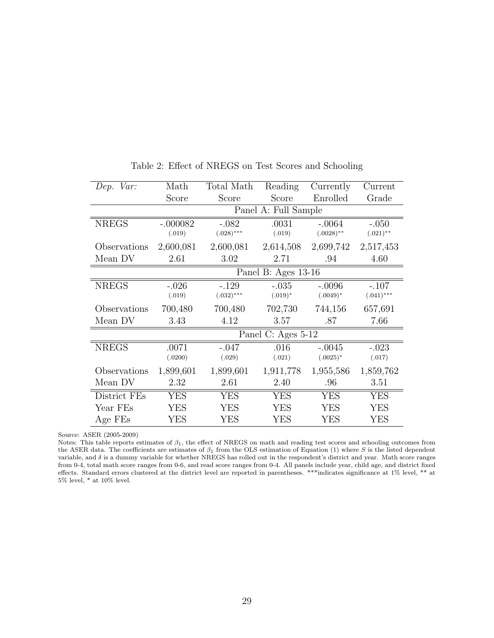| Dep. Var:    | Math                 | Total Math              | Reading              | Currently                | Current                 |  |  |
|--------------|----------------------|-------------------------|----------------------|--------------------------|-------------------------|--|--|
|              | Score                | Score                   | Score                | Enrolled                 | Grade                   |  |  |
|              |                      |                         | Panel A: Full Sample |                          |                         |  |  |
| <b>NREGS</b> | $-.000082$<br>(.019) | $-.082$<br>$(.028)$ *** | .0031<br>(.019)      | $-.0064$<br>$(.0028)$ ** | $-.050$<br>$(.021)$ **  |  |  |
| Observations | 2,600,081            | 2,600,081               | 2,614,508            | 2,699,742                | 2,517,453               |  |  |
| Mean DV      | 2.61                 | 3.02                    | 2.71                 | .94                      | 4.60                    |  |  |
|              | Panel B: Ages 13-16  |                         |                      |                          |                         |  |  |
| <b>NREGS</b> | $-.026$<br>(.019)    | $-.129$<br>$(.032)***$  | $-.035$<br>$(.019)*$ | $-.0096$<br>$(.0049)*$   | $-.107$<br>$(.041)$ *** |  |  |
| Observations | 700,480              | 700,480                 | 702,730              | 744,156                  | 657,691                 |  |  |
| Mean DV      | 3.43                 | 4.12                    | 3.57                 | .87                      | 7.66                    |  |  |
|              |                      |                         | Panel C: Ages 5-12   |                          |                         |  |  |
| <b>NREGS</b> | .0071<br>(.0200)     | $-.047$<br>(.029)       | .016<br>(.021)       | $-.0045$<br>$(.0025)*$   | $-.023$<br>(.017)       |  |  |
| Observations | 1,899,601            | 1,899,601               | 1,911,778            | 1,955,586                | 1,859,762               |  |  |
| Mean DV      | 2.32                 | 2.61                    | 2.40                 | .96                      | 3.51                    |  |  |
| District FEs | <b>YES</b>           | <b>YES</b>              | <b>YES</b>           | <b>YES</b>               | <b>YES</b>              |  |  |
| Year FEs     | <b>YES</b>           | <b>YES</b>              | <b>YES</b>           | <b>YES</b>               | <b>YES</b>              |  |  |
| Age FEs      | YES                  | YES                     | YES                  | <b>YES</b>               | YES                     |  |  |

Table 2: Effect of NREGS on Test Scores and Schooling

Notes: This table reports estimates of  $\beta_1$ , the effect of NREGS on math and reading test scores and schooling outcomes from the ASER data. The coefficients are estimates of  $\beta_1$  from the OLS estimation of Equation (1) where S is the listed dependent variable, and  $\delta$  is a dummy variable for whether NREGS has rolled out in the respondent's district and year. Math score ranges from 0-4, total math score ranges from 0-6, and read score ranges from 0-4. All panels include year, child age, and district fixed effects. Standard errors clustered at the district level are reported in parentheses. \*\*\*indicates significance at 1% level, \*\* at 5% level, \* at 10% level.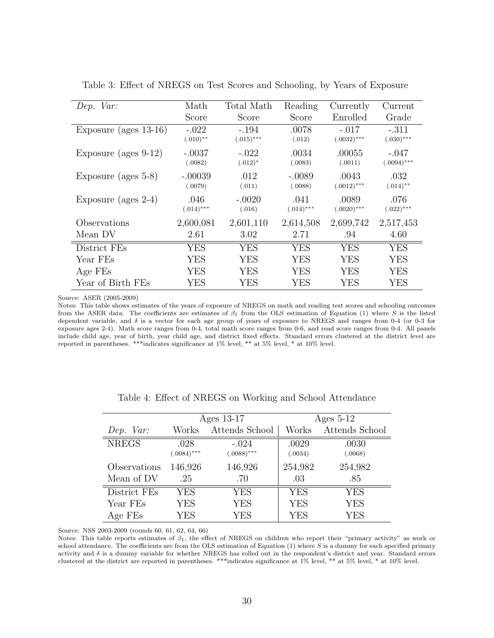| Dep. Var:                | Math                   | Total Math              | Reading              | Currently                | Current                  |
|--------------------------|------------------------|-------------------------|----------------------|--------------------------|--------------------------|
|                          | Score                  | Score                   | Score                | Enrolled                 | Grade                    |
| Exposure (ages $13-16$ ) | $-.022$<br>$(.010)$ ** | $-.194$<br>$(.015)$ *** | .0078<br>(.012)      | $-.017$<br>$(.0032)$ *** | $-.311$<br>$(.030)$ ***  |
| Exposure (ages $9-12$ )  | $-.0037$<br>(.0082)    | $-.022$<br>$(.012)^*$   | .0034<br>(.0083)     | .00055<br>(.0011)        | $-.047$<br>$(.0094)$ *** |
| Exposure (ages $5-8$ )   | $-.00039$<br>(.0079)   | .012<br>(.011)          | $-.0089$<br>(.0088)  | .0043<br>$(.0012)$ ***   | .032<br>$(.014)$ **      |
| Exposure (ages $2-4$ )   | .046<br>$(.014)$ ***   | $-.0020$<br>(.016)      | .041<br>$(.014)$ *** | .0089<br>$(.0020)$ ***   | .076<br>$(.022)$ ***     |
| Observations             | 2,600,081              | 2,601,110               | 2,614,508            | 2,699,742                | 2,517,453                |
| Mean DV                  | 2.61                   | 3.02                    | 2.71                 | .94                      | 4.60                     |
| District FEs             | <b>YES</b>             | <b>YES</b>              | <b>YES</b>           | <b>YES</b>               | <b>YES</b>               |
| Year FEs                 | YES                    | YES                     | YES                  | <b>YES</b>               | <b>YES</b>               |
| Age FEs                  | YES                    | YES                     | YES                  | <b>YES</b>               | YES                      |
| Year of Birth FEs        | YES                    | YES                     | YES                  | YES                      | YES                      |

Table 3: Effect of NREGS on Test Scores and Schooling, by Years of Exposure

Notes: This table shows estimates of the years of exposure of NREGS on math and reading test scores and schooling outcomes from the ASER data. The coefficients are estimates of  $\beta_1$  from the OLS estimation of Equation (1) where S is the listed dependent variable, and  $\delta$  is a vector for each age group of years of exposure to NREGS and ranges from 0-4 (or 0-3 for exposure ages 2-4). Math score ranges from 0-4, total math score ranges from 0-6, and read score ranges from 0-4. All panels include child age, year of birth, year child age, and district fixed effects. Standard errors clustered at the district level are reported in parentheses. \*\*\*indicates significance at 1% level, \*\* at 5% level, \* at 10% level.

|              |              | Ages 13-17     | Ages $5-12$ |                |  |
|--------------|--------------|----------------|-------------|----------------|--|
| Dep. Var:    | Works        | Attends School | Works       | Attends School |  |
| <b>NREGS</b> | .028         | $-.024$        | .0029       | .0030          |  |
|              | $(.0084)***$ | $(.0088)***$   | (.0034)     | (.0068)        |  |
| Observations | 146,926      | 146,926        | 254,982     | 254,982        |  |
| Mean of DV   | .25          | .70            | .03         | .85            |  |
| District FEs | <b>YES</b>   | YES            | <b>YES</b>  | <b>YES</b>     |  |
| Year FEs     | <b>YES</b>   | YES            | <b>YES</b>  | <b>YES</b>     |  |
| Age FEs      | YES          | YES            | <b>YES</b>  | YES            |  |

|  |  | Table 4: Effect of NREGS on Working and School Attendance |  |  |  |  |
|--|--|-----------------------------------------------------------|--|--|--|--|
|--|--|-----------------------------------------------------------|--|--|--|--|

Source: NSS 2003-2009 (rounds 60, 61, 62, 64, 66)

Notes: This table reports estimates of  $\beta_1$ , the effect of NREGS on children who report their "primary activity" as work or school attendance. The coefficients are from the OLS estimation of Equation  $(1)$  where S is a dummy for each specified primary activity and δ is a dummy variable for whether NREGS has rolled out in the respondent's district and year. Standard errors clustered at the district are reported in parentheses. \*\*\*indicates significance at 1% level, \*\* at 5% level, \* at 10% level.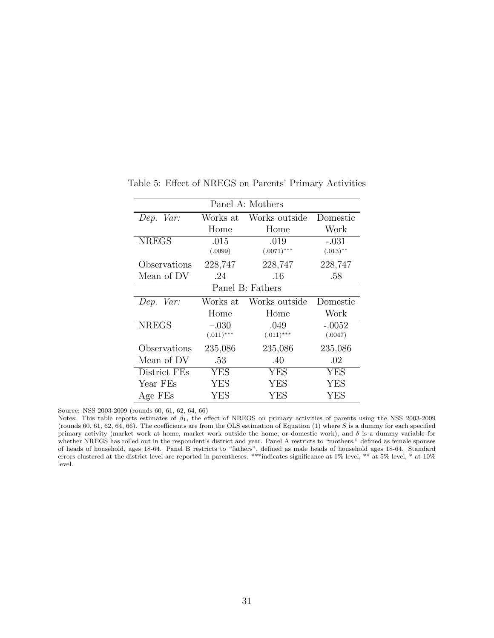| Panel A: Mothers |              |                  |             |  |  |
|------------------|--------------|------------------|-------------|--|--|
| Dep. Var:        | Works at     | Works outside    | Domestic    |  |  |
|                  | Home         | Home             | Work        |  |  |
| <b>NREGS</b>     | .015         | .019             | $-.031$     |  |  |
|                  | (.0099)      | $(.0071)$ ***    | $(.013)$ ** |  |  |
| Observations     | 228,747      | 228,747          | 228,747     |  |  |
| Mean of DV       | .24          | .16              | .58         |  |  |
|                  |              | Panel B: Fathers |             |  |  |
| Dep. Var:        | Works at     | Works outside    | Domestic    |  |  |
|                  | Home         | Home             | Work        |  |  |
| <b>NREGS</b>     | $-.030$      | .049             | $-.0052$    |  |  |
|                  | $(.011)$ *** | $(.011)$ ***     | (.0047)     |  |  |
| Observations     | 235,086      | 235,086          | 235,086     |  |  |
| Mean of DV       | .53          | .40              | .02         |  |  |
| District FEs     | <b>YES</b>   | <b>YES</b>       | <b>YES</b>  |  |  |
| Year FEs         | YES          | YES              | <b>YES</b>  |  |  |
| Age FEs          | YES          | YES              | <b>YES</b>  |  |  |

Table 5: Effect of NREGS on Parents' Primary Activities

Source: NSS 2003-2009 (rounds 60, 61, 62, 64, 66)

l.

Notes: This table reports estimates of  $\beta_1$ , the effect of NREGS on primary activities of parents using the NSS 2003-2009 (rounds 60, 61, 62, 64, 66). The coefficients are from the OLS estimation of Equation (1) where  $S$  is a dummy for each specified primary activity (market work at home, market work outside the home, or domestic work), and  $\delta$  is a dummy variable for whether NREGS has rolled out in the respondent's district and year. Panel A restricts to "mothers," defined as female spouses of heads of household, ages 18-64. Panel B restricts to "fathers", defined as male heads of household ages 18-64. Standard errors clustered at the district level are reported in parentheses. \*\*\*indicates significance at 1% level, \*\* at 5% level, \* at 10% level.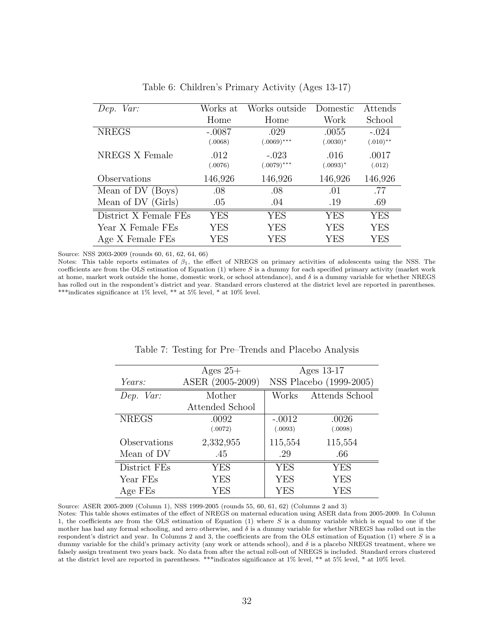| Dep. Var:             | Works at | Works outside | Domestic    | Attends     |
|-----------------------|----------|---------------|-------------|-------------|
|                       | Home     | Home          | Work        | School      |
| <b>NREGS</b>          | $-.0087$ | .029          | .0055       | $-.024$     |
|                       | (.0068)  | $(.0069)$ *** | $(.0030)*$  | $(.010)$ ** |
| NREGS X Female        | .012     | $-.023$       | .016        | .0017       |
|                       | (.0076)  | $(.0079)$ *** | $(.0093)^*$ | (.012)      |
| Observations          | 146,926  | 146,926       | 146,926     | 146,926     |
| Mean of DV (Boys)     | .08      | .08           | .01         | .77         |
| Mean of DV (Girls)    | .05      | .04           | .19         | .69         |
| District X Female FEs | YES      | <b>YES</b>    | YES         | YES         |
| Year X Female FEs     | YES      | <b>YES</b>    | YES         | YES         |
| Age X Female FEs      | YES      | YES           | YES         | YES         |

Table 6: Children's Primary Activity (Ages 13-17)

Source: NSS 2003-2009 (rounds 60, 61, 62, 64, 66)

 $\frac{1}{2}$ 

Ė

Notes: This table reports estimates of  $\beta_1$ , the effect of NREGS on primary activities of adolescents using the NSS. The coefficients are from the OLS estimation of Equation (1) where S is a dummy for each specified primary activity (market work at home, market work outside the home, domestic work, or school attendance), and  $\delta$  is a dummy variable for whether NREGS has rolled out in the respondent's district and year. Standard errors clustered at the district level are reported in parentheses. \*\*\*indicates significance at 1% level, \*\* at 5% level, \* at 10% level.

|              | Ages $25+$       | Ages 13-17 |                         |  |
|--------------|------------------|------------|-------------------------|--|
| Years:       | ASER (2005-2009) |            | NSS Placebo (1999-2005) |  |
| Dep. Var:    | Mother           | Works      | Attends School          |  |
|              | Attended School  |            |                         |  |
| <b>NREGS</b> | .0092            | $-.0012$   | .0026                   |  |
|              | (.0072)          | (.0093)    | (.0098)                 |  |
| Observations | 2,332,955        | 115,554    | 115,554                 |  |
| Mean of DV   | .45              | .29        | .66                     |  |
| District FEs | YES              | <b>YES</b> | <b>YES</b>              |  |
| Year FEs     | <b>YES</b>       | <b>YES</b> | <b>YES</b>              |  |
| Age FEs      | YES              | <b>YES</b> | YES                     |  |

#### Table 7: Testing for Pre–Trends and Placebo Analysis

Source: ASER 2005-2009 (Column 1), NSS 1999-2005 (rounds 55, 60, 61, 62) (Columns 2 and 3)

Notes: This table shows estimates of the effect of NREGS on maternal education using ASER data from 2005-2009. In Column 1, the coefficients are from the OLS estimation of Equation (1) where S is a dummy variable which is equal to one if the mother has had any formal schooling, and zero otherwise, and δ is a dummy variable for whether NREGS has rolled out in the respondent's district and year. In Columns 2 and 3, the coefficients are from the OLS estimation of Equation (1) where S is a dummy variable for the child's primary activity (any work or attends school), and  $\delta$  is a placebo NREGS treatment, where we falsely assign treatment two years back. No data from after the actual roll-out of NREGS is included. Standard errors clustered at the district level are reported in parentheses. \*\*\*indicates significance at 1% level, \*\* at 5% level, \* at 10% level.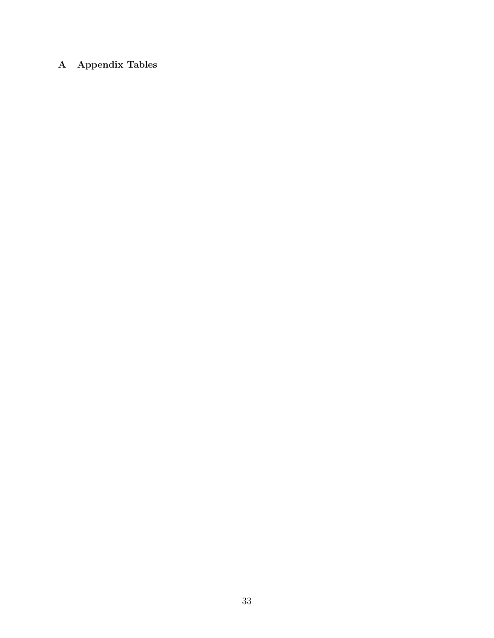# A Appendix Tables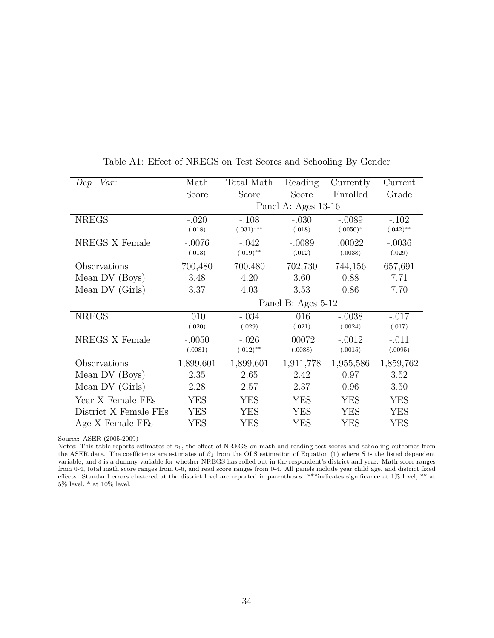| Dep. Var:             | Math               | Total Math   | Reading             | Currently  | Current     |
|-----------------------|--------------------|--------------|---------------------|------------|-------------|
|                       | Score              | Score        | Score               | Enrolled   | Grade       |
|                       |                    |              | Panel A: Ages 13-16 |            |             |
| <b>NREGS</b>          | $-.020$            | $-.108$      | $-.030$             | $-.0089$   | $-.102$     |
|                       | (.018)             | $(.031)$ *** | (.018)              | $(.0050)*$ | $(.042)$ ** |
| <b>NREGS X Female</b> | $-.0076$           | $-.042$      | $-.0089$            | .00022     | $-.0036$    |
|                       | (.013)             | $(.019)$ **  | (.012)              | (.0038)    | (.029)      |
| Observations          | 700,480            | 700,480      | 702,730             | 744,156    | 657,691     |
| Mean DV (Boys)        | 3.48               | 4.20         | 3.60                | 0.88       | 7.71        |
| Mean DV (Girls)       | 3.37               | 4.03         | 3.53                | 0.86       | 7.70        |
|                       | Panel B: Ages 5-12 |              |                     |            |             |
| <b>NREGS</b>          | .010               | $-.034$      | .016                | $-.0038$   | $-.017$     |
|                       | (.020)             | (.029)       | (.021)              | (.0024)    | (.017)      |
| <b>NREGS X Female</b> | $-.0050$           | $-.026$      | .00072              | $-.0012$   | $-.011$     |
|                       | (.0081)            | $(.012)$ **  | (.0088)             | (.0015)    | (.0095)     |
| Observations          | 1,899,601          | 1,899,601    | 1,911,778           | 1,955,586  | 1,859,762   |
| Mean DV (Boys)        | 2.35               | 2.65         | 2.42                | 0.97       | 3.52        |
| Mean DV (Girls)       | 2.28               | 2.57         | 2.37                | 0.96       | 3.50        |
| Year X Female FEs     | <b>YES</b>         | <b>YES</b>   | <b>YES</b>          | <b>YES</b> | <b>YES</b>  |
| District X Female FEs | <b>YES</b>         | <b>YES</b>   | <b>YES</b>          | <b>YES</b> | <b>YES</b>  |
| Age X Female FEs      | <b>YES</b>         | <b>YES</b>   | <b>YES</b>          | <b>YES</b> | <b>YES</b>  |

Table A1: Effect of NREGS on Test Scores and Schooling By Gender

Notes: This table reports estimates of  $\beta_1$ , the effect of NREGS on math and reading test scores and schooling outcomes from the ASER data. The coefficients are estimates of  $\beta_1$  from the OLS estimation of Equation (1) where S is the listed dependent variable, and  $\delta$  is a dummy variable for whether NREGS has rolled out in the respondent's district and year. Math score ranges from 0-4, total math score ranges from 0-6, and read score ranges from 0-4. All panels include year child age, and district fixed effects. Standard errors clustered at the district level are reported in parentheses. \*\*\*indicates significance at 1% level, \*\* at 5% level, \* at 10% level.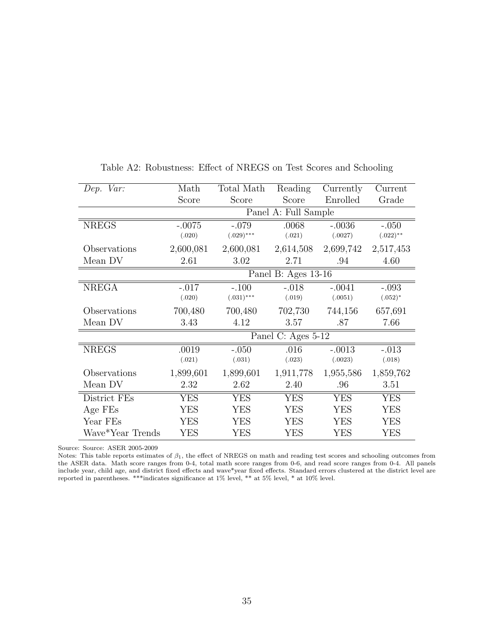| Dep. Var:        | Math      | Total Math   | Reading              | Currently  | Current     |
|------------------|-----------|--------------|----------------------|------------|-------------|
|                  | Score     | Score        | Score                | Enrolled   | Grade       |
|                  |           |              | Panel A: Full Sample |            |             |
| <b>NREGS</b>     | $-.0075$  | $-.079$      | .0068                | $-.0036$   | $-.050$     |
|                  | (.020)    | $(.029)$ *** | (.021)               | (.0027)    | $(.022)$ ** |
| Observations     | 2,600,081 | 2,600,081    | 2,614,508            | 2,699,742  | 2,517,453   |
| Mean DV          | 2.61      | 3.02         | 2.71                 | .94        | 4.60        |
|                  |           |              | Panel B: Ages 13-16  |            |             |
| <b>NREGA</b>     | $-.017$   | $-.100$      | $-.018$              | $-.0041$   | $-.093$     |
|                  | (.020)    | $(.031)$ *** | (.019)               | (.0051)    | $(.052)^*$  |
| Observations     | 700,480   | 700,480      | 702,730              | 744,156    | 657,691     |
| Mean DV          | 3.43      | 4.12         | 3.57                 | .87        | 7.66        |
|                  |           |              | Panel C: Ages 5-12   |            |             |
| <b>NREGS</b>     | .0019     | $-.050$      | .016                 | $-.0013$   | $-.013$     |
|                  | (.021)    | (.031)       | (.023)               | (.0023)    | (.018)      |
| Observations     | 1,899,601 | 1,899,601    | 1,911,778            | 1,955,586  | 1,859,762   |
| Mean DV          | 2.32      | 2.62         | 2.40                 | .96        | 3.51        |
| District FEs     | YES       | <b>YES</b>   | <b>YES</b>           | <b>YES</b> | <b>YES</b>  |
| Age FEs          | YES       | <b>YES</b>   | <b>YES</b>           | <b>YES</b> | <b>YES</b>  |
| Year FEs         | YES       | <b>YES</b>   | <b>YES</b>           | <b>YES</b> | <b>YES</b>  |
| Wave*Year Trends | YES       | <b>YES</b>   | YES                  | <b>YES</b> | <b>YES</b>  |

Table A2: Robustness: Effect of NREGS on Test Scores and Schooling

Source: Source: ASER 2005-2009

Notes: This table reports estimates of  $\beta_1$ , the effect of NREGS on math and reading test scores and schooling outcomes from the ASER data. Math score ranges from 0-4, total math score ranges from 0-6, and read score ranges from 0-4. All panels include year, child age, and district fixed effects and wave\*year fixed effects. Standard errors clustered at the district level are reported in parentheses. \*\*\*indicates significance at 1% level, \*\* at 5% level, \* at 10% level.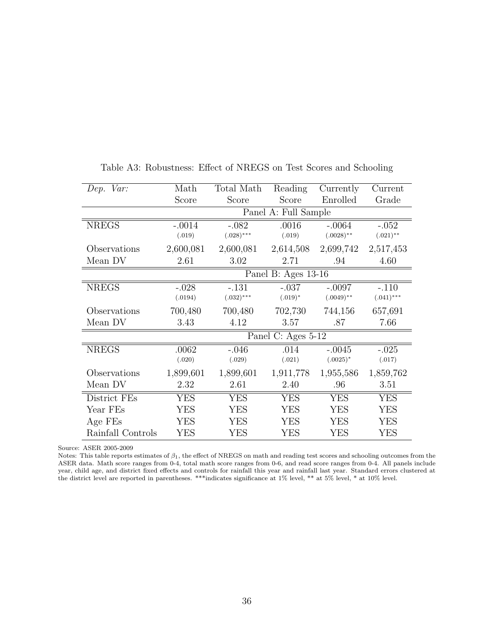| Dep. Var:          | Math               | Total Math   | Reading               | Currently    | Current      |  |
|--------------------|--------------------|--------------|-----------------------|--------------|--------------|--|
|                    | Score              | Score        | Score                 | Enrolled     | Grade        |  |
|                    |                    |              | Panel A: Full Sample  |              |              |  |
| <b>NREGS</b>       | $-.0014$           | $-.082$      | .0016                 | $-.0064$     | $-.052$      |  |
|                    | (.019)             | $(.028)$ *** | (.019)                | $(.0028)$ ** | $(.021)$ **  |  |
| Observations       | 2,600,081          | 2,600,081    | 2,614,508             | 2,699,742    | 2,517,453    |  |
| Mean DV            | 2.61               | 3.02         | 2.71                  | .94          | 4.60         |  |
|                    |                    |              | Panel B: Ages $13-16$ |              |              |  |
| $NRE\overline{GS}$ | $-.028$            | $-.131$      | $-.037$               | $-.0097$     | $-.110$      |  |
|                    | (.0194)            | $(.032)$ *** | $(.019)^*$            | $(.0049)$ ** | $(.041)$ *** |  |
| Observations       | 700,480            | 700,480      | 702,730               | 744,156      | 657,691      |  |
| Mean DV            | 3.43               | 4.12         | 3.57                  | .87          | 7.66         |  |
|                    | Panel C: Ages 5-12 |              |                       |              |              |  |
| <b>NREGS</b>       | .0062              | $-.046$      | .014                  | $-.0045$     | $-.025$      |  |
|                    | (.020)             | (.029)       | (.021)                | $(.0025)*$   | (.017)       |  |
| Observations       | 1,899,601          | 1,899,601    | 1,911,778             | 1,955,586    | 1,859,762    |  |
| Mean DV            | 2.32               | 2.61         | 2.40                  | .96          | 3.51         |  |
| District FEs       | YES                | <b>YES</b>   | <b>YES</b>            | YES          | <b>YES</b>   |  |
| Year FEs           | <b>YES</b>         | <b>YES</b>   | <b>YES</b>            | <b>YES</b>   | <b>YES</b>   |  |
| Age FEs            | YES                | <b>YES</b>   | <b>YES</b>            | <b>YES</b>   | <b>YES</b>   |  |
| Rainfall Controls  | YES                | YES          | <b>YES</b>            | YES          | <b>YES</b>   |  |

Table A3: Robustness: Effect of NREGS on Test Scores and Schooling

Source: ASER 2005-2009

Notes: This table reports estimates of  $\beta_1$ , the effect of NREGS on math and reading test scores and schooling outcomes from the ASER data. Math score ranges from 0-4, total math score ranges from 0-6, and read score ranges from 0-4. All panels include year, child age, and district fixed effects and controls for rainfall this year and rainfall last year. Standard errors clustered at the district level are reported in parentheses. \*\*\*indicates significance at 1% level, \*\* at 5% level, \* at 10% level.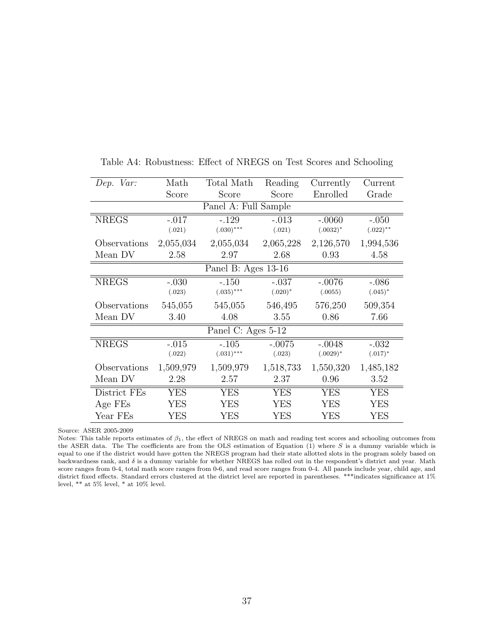| Dep. Var:    | Math       | Total Math           | Reading    | Currently   | Current     |
|--------------|------------|----------------------|------------|-------------|-------------|
|              | Score      | Score                | Score      | Enrolled    | Grade       |
|              |            | Panel A: Full Sample |            |             |             |
| <b>NREGS</b> | $-.017$    | $-.129$              | $-.013$    | $-.0060$    | $-.050$     |
|              | (.021)     | $(.030)$ ***         | (.021)     | $(.0032)^*$ | $(.022)$ ** |
| Observations | 2,055,034  | 2,055,034            | 2,065,228  | 2,126,570   | 1,994,536   |
| Mean DV      | 2.58       | 2.97                 | 2.68       | 0.93        | 4.58        |
|              |            | Panel B: Ages 13-16  |            |             |             |
| <b>NREGS</b> | $-.030$    | $-.150$              | $-.037$    | $-.0076$    | $-.086$     |
|              | (.023)     | $(.035)$ ***         | $(.020)*$  | (.0055)     | $(.045)^*$  |
| Observations | 545,055    | 545,055              | 546,495    | 576,250     | 509,354     |
| Mean DV      | 3.40       | 4.08                 | 3.55       | 0.86        | 7.66        |
|              |            | Panel C: Ages 5-12   |            |             |             |
| <b>NREGS</b> | $-.015$    | $-.105$              | $-.0075$   | $-.0048$    | $-.032$     |
|              | (.022)     | $(.031)***$          | (.023)     | $(.0029)*$  | $(.017)^*$  |
| Observations | 1,509,979  | 1,509,979            | 1,518,733  | 1,550,320   | 1,485,182   |
| Mean DV      | 2.28       | 2.57                 | 2.37       | 0.96        | 3.52        |
| District FEs | <b>YES</b> | <b>YES</b>           | <b>YES</b> | <b>YES</b>  | <b>YES</b>  |
| Age FEs      | <b>YES</b> | <b>YES</b>           | <b>YES</b> | <b>YES</b>  | <b>YES</b>  |
| Year FEs     | YES        | <b>YES</b>           | YES        | <b>YES</b>  | YES         |

Table A4: Robustness: Effect of NREGS on Test Scores and Schooling

Source: ASER 2005-2009

Notes: This table reports estimates of  $\beta_1$ , the effect of NREGS on math and reading test scores and schooling outcomes from the ASER data. The The coefficients are from the OLS estimation of Equation (1) where S is a dummy variable which is equal to one if the district would have gotten the NREGS program had their state allotted slots in the program solely based on backwardness rank, and  $\delta$  is a dummy variable for whether NREGS has rolled out in the respondent's district and year. Math score ranges from 0-4, total math score ranges from 0-6, and read score ranges from 0-4. All panels include year, child age, and district fixed effects. Standard errors clustered at the district level are reported in parentheses. \*\*\*indicates significance at 1% level, \*\* at 5% level, \* at 10% level.